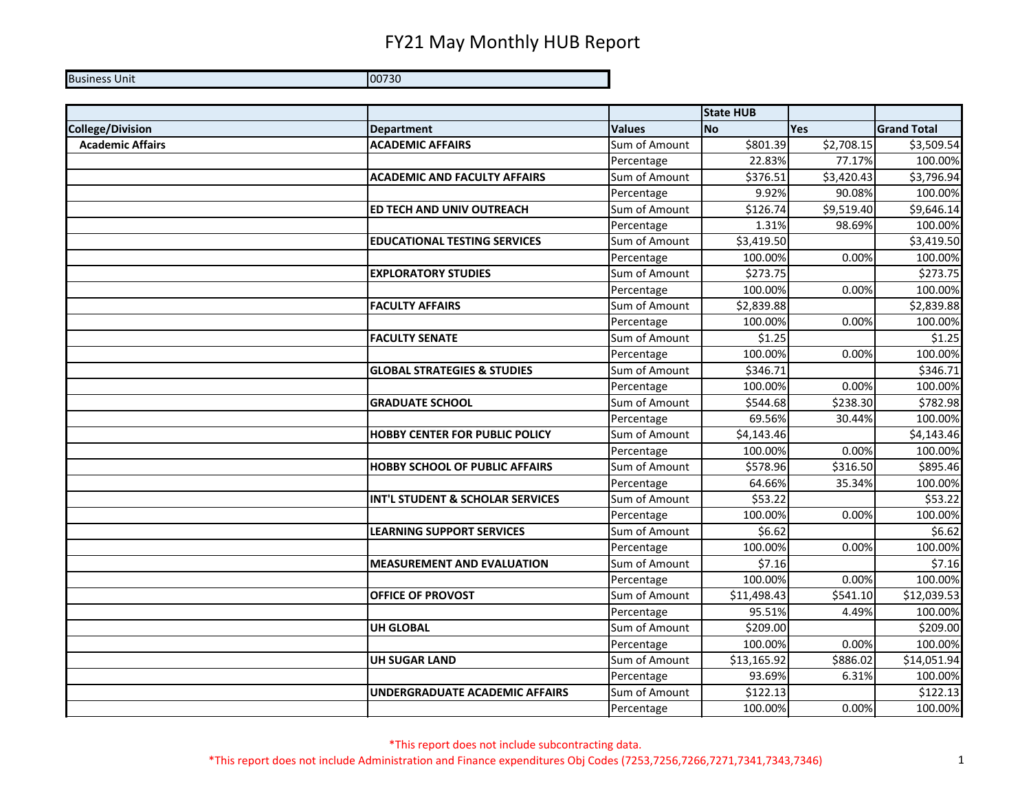Business Unit 00730

|                         |                                        |               | <b>State HUB</b> |            |                    |
|-------------------------|----------------------------------------|---------------|------------------|------------|--------------------|
| <b>College/Division</b> | <b>Department</b>                      | <b>Values</b> | <b>No</b>        | <b>Yes</b> | <b>Grand Total</b> |
| <b>Academic Affairs</b> | <b>ACADEMIC AFFAIRS</b>                | Sum of Amount | \$801.39         | \$2,708.15 | \$3,509.54         |
|                         |                                        | Percentage    | 22.83%           | 77.17%     | 100.00%            |
|                         | <b>ACADEMIC AND FACULTY AFFAIRS</b>    | Sum of Amount | \$376.51         | \$3,420.43 | \$3,796.94         |
|                         |                                        | Percentage    | 9.92%            | 90.08%     | 100.00%            |
|                         | ED TECH AND UNIV OUTREACH              | Sum of Amount | \$126.74         | \$9,519.40 | \$9,646.14         |
|                         |                                        | Percentage    | 1.31%            | 98.69%     | 100.00%            |
|                         | <b>EDUCATIONAL TESTING SERVICES</b>    | Sum of Amount | \$3,419.50       |            | \$3,419.50         |
|                         |                                        | Percentage    | 100.00%          | 0.00%      | 100.00%            |
|                         | <b>EXPLORATORY STUDIES</b>             | Sum of Amount | \$273.75         |            | \$273.75           |
|                         |                                        | Percentage    | 100.00%          | 0.00%      | 100.00%            |
|                         | <b>FACULTY AFFAIRS</b>                 | Sum of Amount | \$2,839.88       |            | \$2,839.88         |
|                         |                                        | Percentage    | 100.00%          | 0.00%      | 100.00%            |
|                         | <b>FACULTY SENATE</b>                  | Sum of Amount | \$1.25           |            | \$1.25             |
|                         |                                        | Percentage    | 100.00%          | 0.00%      | 100.00%            |
|                         | <b>GLOBAL STRATEGIES &amp; STUDIES</b> | Sum of Amount | \$346.71         |            | \$346.71           |
|                         |                                        | Percentage    | 100.00%          | 0.00%      | 100.00%            |
|                         | <b>GRADUATE SCHOOL</b>                 | Sum of Amount | \$544.68         | \$238.30   | \$782.98           |
|                         |                                        | Percentage    | 69.56%           | 30.44%     | 100.00%            |
|                         | <b>HOBBY CENTER FOR PUBLIC POLICY</b>  | Sum of Amount | \$4,143.46       |            | \$4,143.46         |
|                         |                                        | Percentage    | 100.00%          | 0.00%      | 100.00%            |
|                         | <b>HOBBY SCHOOL OF PUBLIC AFFAIRS</b>  | Sum of Amount | \$578.96         | \$316.50   | \$895.46           |
|                         |                                        | Percentage    | 64.66%           | 35.34%     | 100.00%            |
|                         | INT'L STUDENT & SCHOLAR SERVICES       | Sum of Amount | \$53.22          |            | \$53.22            |
|                         |                                        | Percentage    | 100.00%          | 0.00%      | 100.00%            |
|                         | <b>LEARNING SUPPORT SERVICES</b>       | Sum of Amount | \$6.62           |            | \$6.62             |
|                         |                                        | Percentage    | 100.00%          | 0.00%      | 100.00%            |
|                         | <b>MEASUREMENT AND EVALUATION</b>      | Sum of Amount | \$7.16           |            | \$7.16             |
|                         |                                        | Percentage    | 100.00%          | 0.00%      | 100.00%            |
|                         | <b>OFFICE OF PROVOST</b>               | Sum of Amount | \$11,498.43      | \$541.10   | \$12,039.53        |
|                         |                                        | Percentage    | 95.51%           | 4.49%      | 100.00%            |
|                         | <b>UH GLOBAL</b>                       | Sum of Amount | \$209.00         |            | \$209.00           |
|                         |                                        | Percentage    | 100.00%          | 0.00%      | 100.00%            |
|                         | <b>UH SUGAR LAND</b>                   | Sum of Amount | \$13,165.92      | \$886.02   | \$14,051.94        |
|                         |                                        | Percentage    | 93.69%           | 6.31%      | 100.00%            |
|                         | UNDERGRADUATE ACADEMIC AFFAIRS         | Sum of Amount | \$122.13         |            | \$122.13           |
|                         |                                        | Percentage    | 100.00%          | 0.00%      | 100.00%            |

\*This report does not include subcontracting data. \*This report does not include Administration and Finance expenditures Obj Codes (7253,7256,7266,7271,7341,7343,7346) 1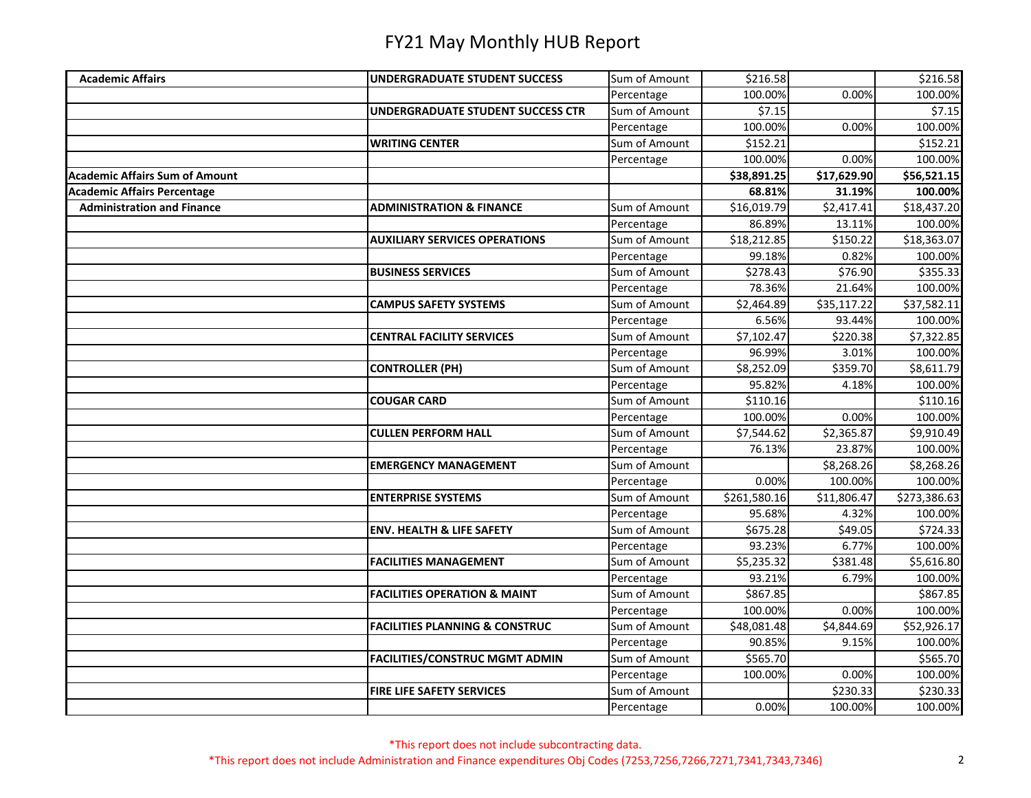| <b>Academic Affairs</b>            | <b>UNDERGRADUATE STUDENT SUCCESS</b>      | Sum of Amount | \$216.58     |                         | \$216.58     |
|------------------------------------|-------------------------------------------|---------------|--------------|-------------------------|--------------|
|                                    |                                           | Percentage    | 100.00%      | 0.00%                   | 100.00%      |
|                                    | UNDERGRADUATE STUDENT SUCCESS CTR         | Sum of Amount | \$7.15       |                         | \$7.15       |
|                                    |                                           | Percentage    | 100.00%      | 0.00%                   | 100.00%      |
|                                    | <b>WRITING CENTER</b>                     | Sum of Amount | \$152.21     |                         | \$152.21     |
|                                    |                                           | Percentage    | 100.00%      | 0.00%                   | 100.00%      |
| Academic Affairs Sum of Amount     |                                           |               | \$38,891.25  | \$17,629.90             | \$56,521.15  |
| <b>Academic Affairs Percentage</b> |                                           |               | 68.81%       | 31.19%                  | 100.00%      |
| <b>Administration and Finance</b>  | <b>ADMINISTRATION &amp; FINANCE</b>       | Sum of Amount | \$16,019.79  | \$2,417.41              | \$18,437.20  |
|                                    |                                           | Percentage    | 86.89%       | 13.11%                  | 100.00%      |
|                                    | <b>AUXILIARY SERVICES OPERATIONS</b>      | Sum of Amount | \$18,212.85  | \$150.22                | \$18,363.07  |
|                                    |                                           | Percentage    | 99.18%       | 0.82%                   | 100.00%      |
|                                    | <b>BUSINESS SERVICES</b>                  | Sum of Amount | \$278.43     | \$76.90                 | \$355.33     |
|                                    |                                           | Percentage    | 78.36%       | 21.64%                  | 100.00%      |
|                                    | <b>CAMPUS SAFETY SYSTEMS</b>              | Sum of Amount | \$2,464.89   | $\overline{$}35,117.22$ | \$37,582.11  |
|                                    |                                           | Percentage    | 6.56%        | 93.44%                  | 100.00%      |
|                                    | <b>CENTRAL FACILITY SERVICES</b>          | Sum of Amount | \$7,102.47   | \$220.38                | \$7,322.85   |
|                                    |                                           | Percentage    | 96.99%       | 3.01%                   | 100.00%      |
|                                    | <b>CONTROLLER (PH)</b>                    | Sum of Amount | \$8,252.09   | \$359.70                | \$8,611.79   |
|                                    |                                           | Percentage    | 95.82%       | 4.18%                   | 100.00%      |
|                                    | <b>COUGAR CARD</b>                        | Sum of Amount | \$110.16     |                         | \$110.16     |
|                                    |                                           | Percentage    | 100.00%      | 0.00%                   | 100.00%      |
|                                    | <b>CULLEN PERFORM HALL</b>                | Sum of Amount | \$7,544.62   | \$2,365.87              | \$9,910.49   |
|                                    |                                           | Percentage    | 76.13%       | 23.87%                  | 100.00%      |
|                                    | <b>EMERGENCY MANAGEMENT</b>               | Sum of Amount |              | \$8,268.26              | \$8,268.26   |
|                                    |                                           | Percentage    | 0.00%        | 100.00%                 | 100.00%      |
|                                    | <b>ENTERPRISE SYSTEMS</b>                 | Sum of Amount | \$261,580.16 | \$11,806.47             | \$273,386.63 |
|                                    |                                           | Percentage    | 95.68%       | 4.32%                   | 100.00%      |
|                                    | <b>ENV. HEALTH &amp; LIFE SAFETY</b>      | Sum of Amount | \$675.28     | \$49.05                 | \$724.33     |
|                                    |                                           | Percentage    | 93.23%       | 6.77%                   | 100.00%      |
|                                    | <b>FACILITIES MANAGEMENT</b>              | Sum of Amount | \$5,235.32   | \$381.48                | \$5,616.80   |
|                                    |                                           | Percentage    | 93.21%       | 6.79%                   | 100.00%      |
|                                    | <b>FACILITIES OPERATION &amp; MAINT</b>   | Sum of Amount | \$867.85     |                         | \$867.85     |
|                                    |                                           | Percentage    | 100.00%      | 0.00%                   | 100.00%      |
|                                    | <b>FACILITIES PLANNING &amp; CONSTRUC</b> | Sum of Amount | \$48,081.48  | \$4,844.69              | \$52,926.17  |
|                                    |                                           | Percentage    | 90.85%       | 9.15%                   | 100.00%      |
|                                    | <b>FACILITIES/CONSTRUC MGMT ADMIN</b>     | Sum of Amount | \$565.70     |                         | \$565.70     |
|                                    |                                           | Percentage    | 100.00%      | 0.00%                   | 100.00%      |
|                                    | <b>FIRE LIFE SAFETY SERVICES</b>          | Sum of Amount |              | \$230.33                | \$230.33     |
|                                    |                                           | Percentage    | 0.00%        | 100.00%                 | 100.00%      |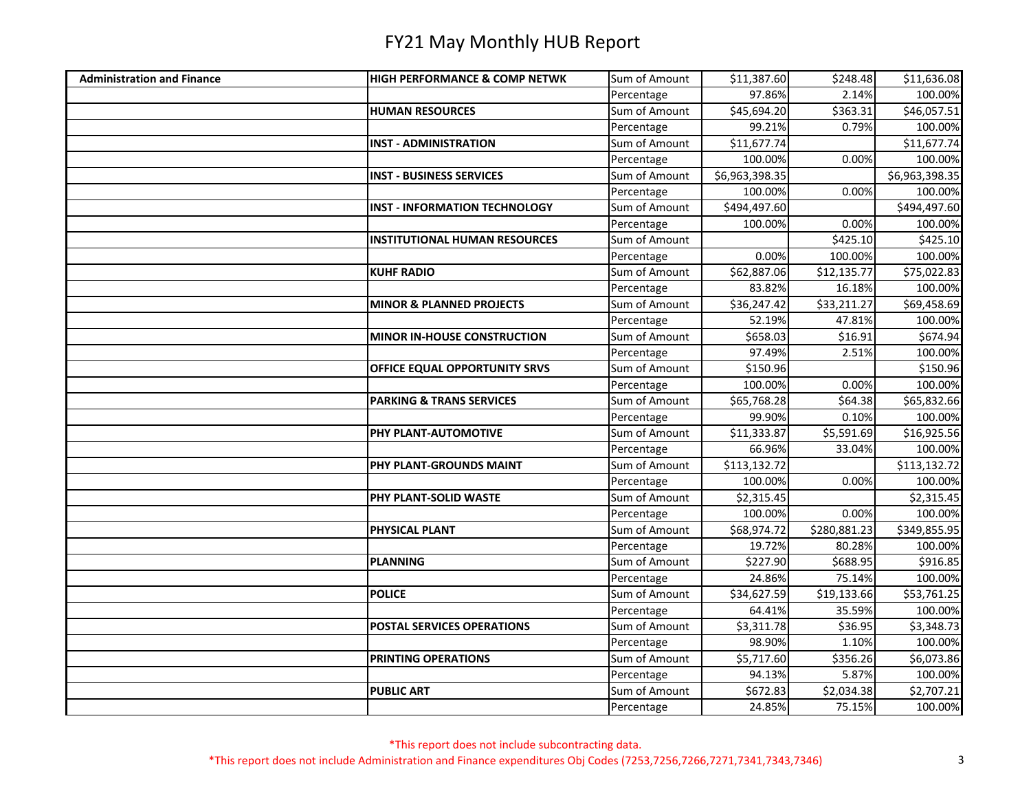| <b>Administration and Finance</b> | <b>HIGH PERFORMANCE &amp; COMP NETWK</b> | Sum of Amount | \$11,387.60    | \$248.48     | \$11,636.08    |
|-----------------------------------|------------------------------------------|---------------|----------------|--------------|----------------|
|                                   |                                          | Percentage    | 97.86%         | 2.14%        | 100.00%        |
|                                   | <b>HUMAN RESOURCES</b>                   | Sum of Amount | \$45,694.20    | \$363.31     | \$46,057.51    |
|                                   |                                          | Percentage    | 99.21%         | 0.79%        | 100.00%        |
|                                   | <b>INST - ADMINISTRATION</b>             | Sum of Amount | \$11,677.74    |              | \$11,677.74    |
|                                   |                                          | Percentage    | 100.00%        | 0.00%        | 100.00%        |
|                                   | <b>INST - BUSINESS SERVICES</b>          | Sum of Amount | \$6,963,398.35 |              | \$6,963,398.35 |
|                                   |                                          | Percentage    | 100.00%        | 0.00%        | 100.00%        |
|                                   | <b>INST - INFORMATION TECHNOLOGY</b>     | Sum of Amount | \$494,497.60   |              | \$494,497.60   |
|                                   |                                          | Percentage    | 100.00%        | 0.00%        | 100.00%        |
|                                   | <b>INSTITUTIONAL HUMAN RESOURCES</b>     | Sum of Amount |                | \$425.10     | \$425.10       |
|                                   |                                          | Percentage    | 0.00%          | 100.00%      | 100.00%        |
|                                   | <b>KUHF RADIO</b>                        | Sum of Amount | \$62,887.06    | \$12,135.77  | \$75,022.83    |
|                                   |                                          | Percentage    | 83.82%         | 16.18%       | 100.00%        |
|                                   | <b>MINOR &amp; PLANNED PROJECTS</b>      | Sum of Amount | \$36,247.42    | \$33,211.27  | \$69,458.69    |
|                                   |                                          | Percentage    | 52.19%         | 47.81%       | 100.00%        |
|                                   | <b>MINOR IN-HOUSE CONSTRUCTION</b>       | Sum of Amount | \$658.03       | \$16.91      | \$674.94       |
|                                   |                                          | Percentage    | 97.49%         | 2.51%        | 100.00%        |
|                                   | OFFICE EQUAL OPPORTUNITY SRVS            | Sum of Amount | \$150.96       |              | \$150.96       |
|                                   |                                          | Percentage    | 100.00%        | 0.00%        | 100.00%        |
|                                   | <b>PARKING &amp; TRANS SERVICES</b>      | Sum of Amount | \$65,768.28    | \$64.38      | \$65,832.66    |
|                                   |                                          | Percentage    | 99.90%         | 0.10%        | 100.00%        |
|                                   | PHY PLANT-AUTOMOTIVE                     | Sum of Amount | \$11,333.87    | \$5,591.69   | \$16,925.56    |
|                                   |                                          | Percentage    | 66.96%         | 33.04%       | 100.00%        |
|                                   | PHY PLANT-GROUNDS MAINT                  | Sum of Amount | \$113,132.72   |              | \$113,132.72   |
|                                   |                                          | Percentage    | 100.00%        | 0.00%        | 100.00%        |
|                                   | PHY PLANT-SOLID WASTE                    | Sum of Amount | \$2,315.45     |              | \$2,315.45     |
|                                   |                                          | Percentage    | 100.00%        | 0.00%        | 100.00%        |
|                                   | PHYSICAL PLANT                           | Sum of Amount | \$68,974.72    | \$280,881.23 | \$349,855.95   |
|                                   |                                          | Percentage    | 19.72%         | 80.28%       | 100.00%        |
|                                   | <b>PLANNING</b>                          | Sum of Amount | \$227.90       | \$688.95     | \$916.85       |
|                                   |                                          | Percentage    | 24.86%         | 75.14%       | 100.00%        |
|                                   | <b>POLICE</b>                            | Sum of Amount | \$34,627.59    | \$19,133.66  | \$53,761.25    |
|                                   |                                          | Percentage    | 64.41%         | 35.59%       | 100.00%        |
|                                   | POSTAL SERVICES OPERATIONS               | Sum of Amount | \$3,311.78     | \$36.95      | \$3,348.73     |
|                                   |                                          | Percentage    | 98.90%         | 1.10%        | 100.00%        |
|                                   | <b>PRINTING OPERATIONS</b>               | Sum of Amount | \$5,717.60     | \$356.26     | \$6,073.86     |
|                                   |                                          | Percentage    | 94.13%         | 5.87%        | 100.00%        |
|                                   | <b>PUBLIC ART</b>                        | Sum of Amount | \$672.83       | \$2,034.38   | \$2,707.21     |
|                                   |                                          | Percentage    | 24.85%         | 75.15%       | 100.00%        |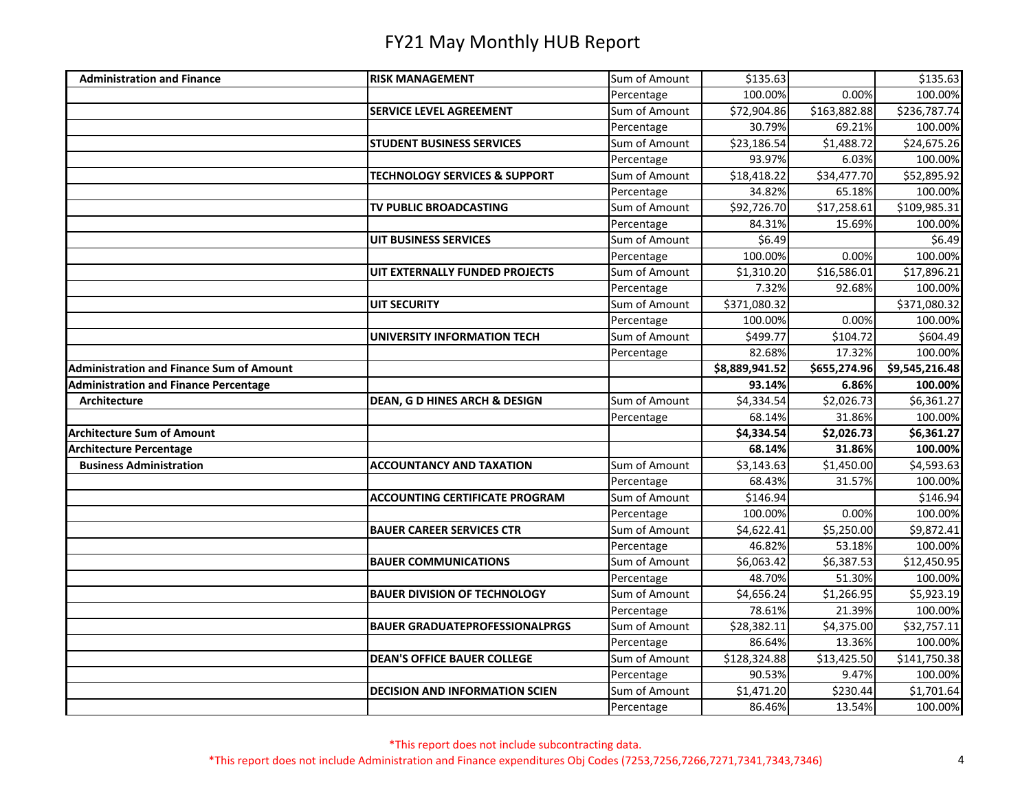| <b>Administration and Finance</b>               | <b>RISK MANAGEMENT</b>                   | Sum of Amount               | \$135.63             |                         | \$135.63               |
|-------------------------------------------------|------------------------------------------|-----------------------------|----------------------|-------------------------|------------------------|
|                                                 |                                          | Percentage                  | 100.00%              | 0.00%                   | 100.00%                |
|                                                 | <b>SERVICE LEVEL AGREEMENT</b>           | Sum of Amount               | \$72,904.86          | \$163,882.88            | \$236,787.74           |
|                                                 |                                          | Percentage                  | 30.79%               | 69.21%                  | 100.00%                |
|                                                 | <b>STUDENT BUSINESS SERVICES</b>         | Sum of Amount               | \$23,186.54          | \$1,488.72              | \$24,675.26            |
|                                                 |                                          | Percentage                  | 93.97%               | 6.03%                   | 100.00%                |
|                                                 | <b>TECHNOLOGY SERVICES &amp; SUPPORT</b> | Sum of Amount               | \$18,418.22          | \$34,477.70             | \$52,895.92            |
|                                                 |                                          | Percentage                  | 34.82%               | 65.18%                  | 100.00%                |
|                                                 | TV PUBLIC BROADCASTING                   | Sum of Amount               | \$92,726.70          | \$17,258.61             | \$109,985.31           |
|                                                 |                                          | Percentage                  | 84.31%               | 15.69%                  | 100.00%                |
|                                                 | <b>UIT BUSINESS SERVICES</b>             | Sum of Amount               | \$6.49               |                         | \$6.49                 |
|                                                 |                                          | Percentage                  | 100.00%              | 0.00%                   | 100.00%                |
|                                                 | UIT EXTERNALLY FUNDED PROJECTS           | Sum of Amount               | \$1,310.20           | \$16,586.01             | \$17,896.21            |
|                                                 |                                          | Percentage                  | 7.32%                | 92.68%                  | 100.00%                |
|                                                 | <b>UIT SECURITY</b>                      | Sum of Amount               | \$371,080.32         |                         | \$371,080.32           |
|                                                 |                                          | Percentage                  | 100.00%              | 0.00%                   | 100.00%                |
|                                                 | <b>UNIVERSITY INFORMATION TECH</b>       | Sum of Amount               | \$499.77             | \$104.72                | \$604.49               |
|                                                 |                                          | Percentage                  | 82.68%               | 17.32%                  | 100.00%                |
| <b>Administration and Finance Sum of Amount</b> |                                          |                             | \$8,889,941.52       | \$655,274.96            | \$9,545,216.48         |
| <b>Administration and Finance Percentage</b>    |                                          |                             | 93.14%               | 6.86%                   | 100.00%                |
| Architecture                                    | <b>DEAN, G D HINES ARCH &amp; DESIGN</b> | Sum of Amount               | \$4,334.54           | \$2,026.73              | \$6,361.27             |
|                                                 |                                          | Percentage                  | 68.14%               | 31.86%                  | 100.00%                |
| <b>Architecture Sum of Amount</b>               |                                          |                             | \$4,334.54           | \$2,026.73              | \$6,361.27             |
| <b>Architecture Percentage</b>                  |                                          |                             | 68.14%               | 31.86%                  | 100.00%                |
| <b>Business Administration</b>                  | <b>ACCOUNTANCY AND TAXATION</b>          | Sum of Amount               | \$3,143.63           | \$1,450.00              | $$4,593.\overline{63}$ |
|                                                 |                                          | Percentage                  | 68.43%               | 31.57%                  | 100.00%                |
|                                                 | <b>ACCOUNTING CERTIFICATE PROGRAM</b>    | Sum of Amount               | \$146.94             |                         | \$146.94               |
|                                                 |                                          | Percentage                  | 100.00%              | 0.00%                   | 100.00%                |
|                                                 | <b>BAUER CAREER SERVICES CTR</b>         | Sum of Amount               | \$4,622.41           | \$5,250.00              | \$9,872.41             |
|                                                 |                                          | Percentage                  | 46.82%               | 53.18%                  | 100.00%                |
|                                                 | <b>BAUER COMMUNICATIONS</b>              | Sum of Amount               | \$6,063.42           | \$6,387.53              | \$12,450.95            |
|                                                 |                                          | Percentage                  | 48.70%               | 51.30%                  | 100.00%                |
|                                                 | <b>BAUER DIVISION OF TECHNOLOGY</b>      | Sum of Amount               | \$4,656.24           | \$1,266.95              | \$5,923.19             |
|                                                 |                                          | Percentage                  | 78.61%               | 21.39%                  | 100.00%                |
|                                                 | <b>BAUER GRADUATEPROFESSIONALPRGS</b>    | Sum of Amount               | \$28,382.11          | \$4,375.00              | \$32,757.11            |
|                                                 |                                          | Percentage                  | 86.64%               | 13.36%                  | 100.00%                |
|                                                 |                                          |                             |                      |                         | \$141,750.38           |
|                                                 | <b>DEAN'S OFFICE BAUER COLLEGE</b>       | Sum of Amount               | \$128,324.88         | $\overline{$}13,425.50$ |                        |
|                                                 |                                          | Percentage                  | 90.53%               | 9.47%                   | 100.00%                |
|                                                 | <b>DECISION AND INFORMATION SCIEN</b>    | Sum of Amount<br>Percentage | \$1,471.20<br>86.46% | \$230.44<br>13.54%      | \$1,701.64<br>100.00%  |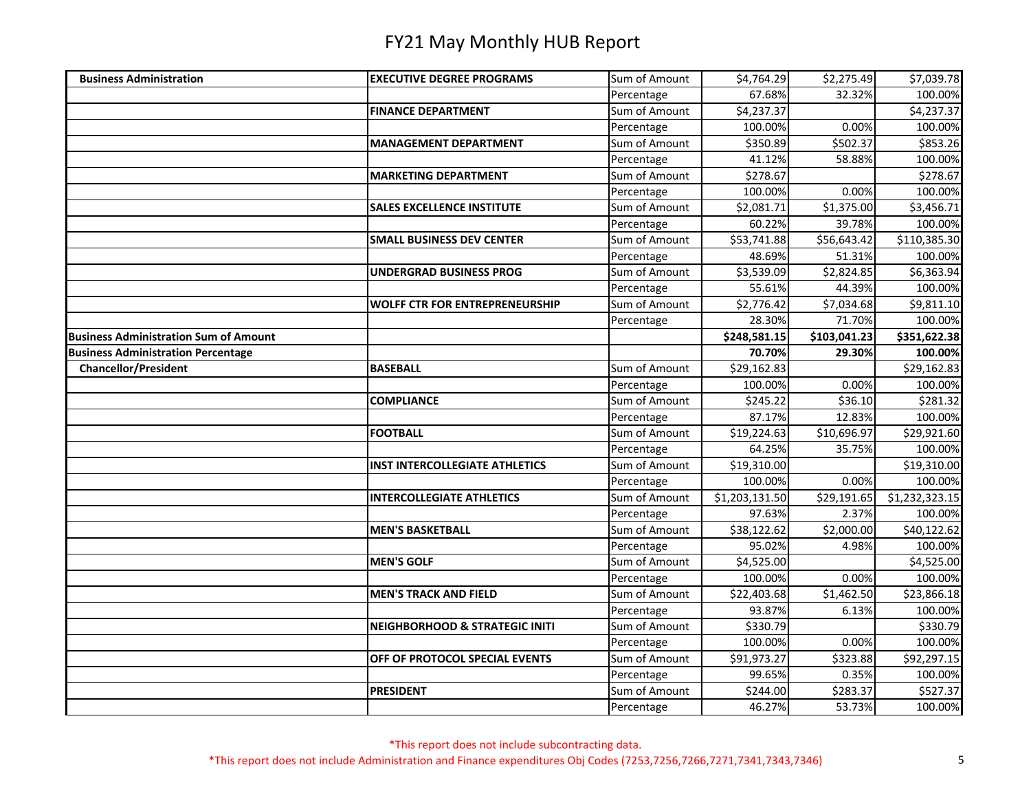| <b>Business Administration</b>               | <b>EXECUTIVE DEGREE PROGRAMS</b>          | Sum of Amount | \$4,764.29     | \$2,275.49   | \$7,039.78     |
|----------------------------------------------|-------------------------------------------|---------------|----------------|--------------|----------------|
|                                              |                                           | Percentage    | 67.68%         | 32.32%       | 100.00%        |
|                                              | <b>FINANCE DEPARTMENT</b>                 | Sum of Amount | \$4,237.37     |              | \$4,237.37     |
|                                              |                                           | Percentage    | 100.00%        | 0.00%        | 100.00%        |
|                                              | <b>MANAGEMENT DEPARTMENT</b>              | Sum of Amount | \$350.89       | \$502.37     | \$853.26       |
|                                              |                                           | Percentage    | 41.12%         | 58.88%       | 100.00%        |
|                                              | <b>MARKETING DEPARTMENT</b>               | Sum of Amount | \$278.67       |              | \$278.67       |
|                                              |                                           | Percentage    | 100.00%        | 0.00%        | 100.00%        |
|                                              | <b>SALES EXCELLENCE INSTITUTE</b>         | Sum of Amount | \$2,081.71     | \$1,375.00   | \$3,456.71     |
|                                              |                                           | Percentage    | 60.22%         | 39.78%       | 100.00%        |
|                                              | <b>SMALL BUSINESS DEV CENTER</b>          | Sum of Amount | \$53,741.88    | \$56,643.42  | \$110,385.30   |
|                                              |                                           | Percentage    | 48.69%         | 51.31%       | 100.00%        |
|                                              | <b>UNDERGRAD BUSINESS PROG</b>            | Sum of Amount | \$3,539.09     | \$2,824.85   | \$6,363.94     |
|                                              |                                           | Percentage    | 55.61%         | 44.39%       | 100.00%        |
|                                              | <b>WOLFF CTR FOR ENTREPRENEURSHIP</b>     | Sum of Amount | \$2,776.42     | \$7,034.68   | \$9,811.10     |
|                                              |                                           | Percentage    | 28.30%         | 71.70%       | 100.00%        |
| <b>Business Administration Sum of Amount</b> |                                           |               | \$248,581.15   | \$103,041.23 | \$351,622.38   |
| <b>Business Administration Percentage</b>    |                                           |               | 70.70%         | 29.30%       | 100.00%        |
| <b>Chancellor/President</b>                  | <b>BASEBALL</b>                           | Sum of Amount | \$29,162.83    |              | \$29,162.83    |
|                                              |                                           | Percentage    | 100.00%        | 0.00%        | 100.00%        |
|                                              | <b>COMPLIANCE</b>                         | Sum of Amount | \$245.22       | \$36.10      | \$281.32       |
|                                              |                                           | Percentage    | 87.17%         | 12.83%       | 100.00%        |
|                                              | <b>FOOTBALL</b>                           | Sum of Amount | \$19,224.63    | \$10,696.97  | \$29,921.60    |
|                                              |                                           | Percentage    | 64.25%         | 35.75%       | 100.00%        |
|                                              | <b>INST INTERCOLLEGIATE ATHLETICS</b>     | Sum of Amount | \$19,310.00    |              | \$19,310.00    |
|                                              |                                           | Percentage    | 100.00%        | 0.00%        | 100.00%        |
|                                              | <b>INTERCOLLEGIATE ATHLETICS</b>          | Sum of Amount | \$1,203,131.50 | \$29,191.65  | \$1,232,323.15 |
|                                              |                                           | Percentage    | 97.63%         | 2.37%        | 100.00%        |
|                                              | <b>MEN'S BASKETBALL</b>                   | Sum of Amount | \$38,122.62    | \$2,000.00   | \$40,122.62    |
|                                              |                                           | Percentage    | 95.02%         | 4.98%        | 100.00%        |
|                                              | <b>MEN'S GOLF</b>                         | Sum of Amount | \$4,525.00     |              | \$4,525.00     |
|                                              |                                           | Percentage    | 100.00%        | 0.00%        | 100.00%        |
|                                              | <b>MEN'S TRACK AND FIELD</b>              | Sum of Amount | \$22,403.68    | \$1,462.50   | \$23,866.18    |
|                                              |                                           | Percentage    | 93.87%         | 6.13%        | 100.00%        |
|                                              | <b>NEIGHBORHOOD &amp; STRATEGIC INITI</b> | Sum of Amount | \$330.79       |              | \$330.79       |
|                                              |                                           | Percentage    | 100.00%        | 0.00%        | 100.00%        |
|                                              | OFF OF PROTOCOL SPECIAL EVENTS            | Sum of Amount | \$91,973.27    | \$323.88     | \$92,297.15    |
|                                              |                                           | Percentage    | 99.65%         | 0.35%        | 100.00%        |
|                                              | <b>PRESIDENT</b>                          | Sum of Amount | \$244.00       | \$283.37     | \$527.37       |
|                                              |                                           | Percentage    | 46.27%         | 53.73%       | 100.00%        |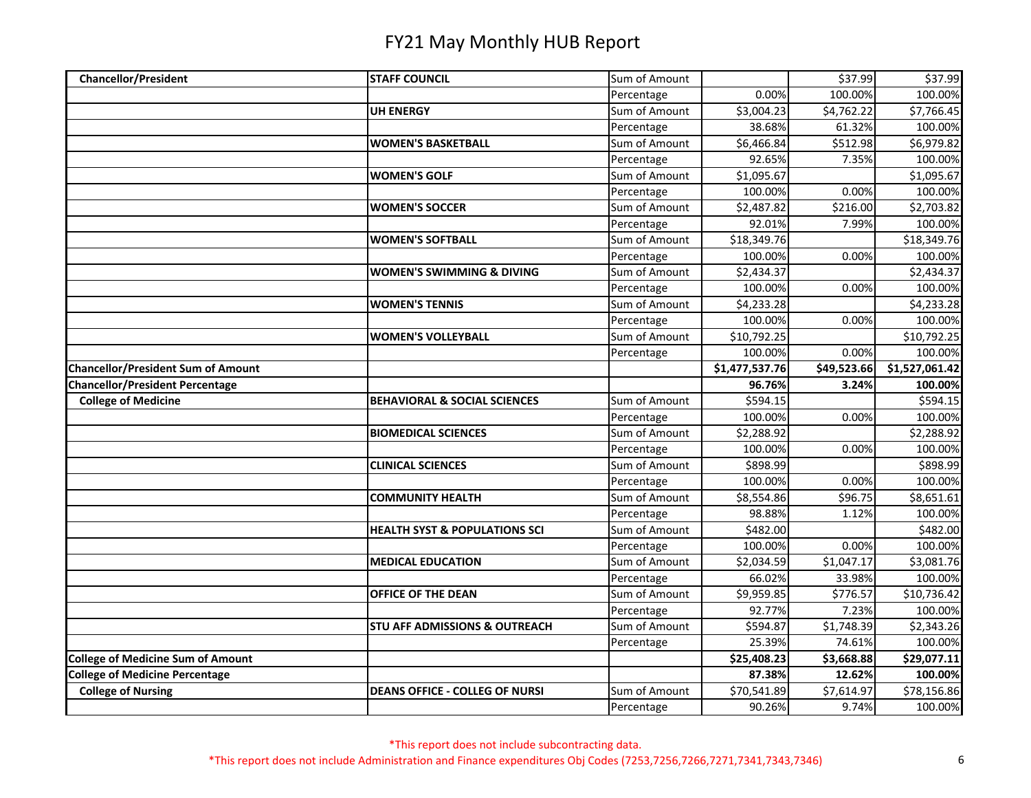| <b>Chancellor/President</b>               | <b>STAFF COUNCIL</b>                     | Sum of Amount               |                       | \$37.99     | \$37.99                |
|-------------------------------------------|------------------------------------------|-----------------------------|-----------------------|-------------|------------------------|
|                                           |                                          | Percentage                  | 0.00%                 | 100.00%     | 100.00%                |
|                                           | <b>UH ENERGY</b>                         | Sum of Amount               | \$3,004.23            | \$4,762.22  | \$7,766.45             |
|                                           |                                          | Percentage                  | 38.68%                | 61.32%      | 100.00%                |
|                                           | <b>WOMEN'S BASKETBALL</b>                | Sum of Amount               | \$6,466.84            | \$512.98    | \$6,979.82             |
|                                           |                                          | Percentage                  | 92.65%                | 7.35%       | 100.00%                |
|                                           | <b>WOMEN'S GOLF</b>                      | Sum of Amount               | \$1,095.67            |             | \$1,095.67             |
|                                           |                                          | Percentage                  | 100.00%               | 0.00%       | 100.00%                |
|                                           | <b>WOMEN'S SOCCER</b>                    | Sum of Amount               | \$2,487.82            | \$216.00    | \$2,703.82             |
|                                           |                                          | Percentage                  | 92.01%                | 7.99%       | 100.00%                |
|                                           | <b>WOMEN'S SOFTBALL</b>                  | Sum of Amount               | \$18,349.76           |             | \$18,349.76            |
|                                           |                                          | Percentage                  | 100.00%               | 0.00%       | 100.00%                |
|                                           | <b>WOMEN'S SWIMMING &amp; DIVING</b>     | Sum of Amount               | \$2,434.37            |             | \$2,434.37             |
|                                           |                                          | Percentage                  | 100.00%               | 0.00%       | 100.00%                |
|                                           | <b>WOMEN'S TENNIS</b>                    | Sum of Amount               | \$4,233.28            |             | \$4,233.28             |
|                                           |                                          | Percentage                  | 100.00%               | 0.00%       | 100.00%                |
|                                           | <b>WOMEN'S VOLLEYBALL</b>                | Sum of Amount               | \$10,792.25           |             | \$10,792.25            |
|                                           |                                          | Percentage                  | 100.00%               | 0.00%       | 100.00%                |
| <b>Chancellor/President Sum of Amount</b> |                                          |                             | \$1,477,537.76        | \$49,523.66 | \$1,527,061.42         |
| <b>Chancellor/President Percentage</b>    |                                          |                             | 96.76%                | 3.24%       | 100.00%                |
| <b>College of Medicine</b>                | <b>BEHAVIORAL &amp; SOCIAL SCIENCES</b>  | Sum of Amount               | \$594.15              |             | \$594.15               |
|                                           |                                          | Percentage                  | 100.00%               | 0.00%       | 100.00%                |
|                                           | <b>BIOMEDICAL SCIENCES</b>               | Sum of Amount               | \$2,288.92            |             | \$2,288.92             |
|                                           |                                          | Percentage                  | 100.00%               | 0.00%       | 100.00%                |
|                                           | <b>CLINICAL SCIENCES</b>                 | Sum of Amount               | \$898.99              |             | \$898.99               |
|                                           |                                          | Percentage                  | 100.00%               | 0.00%       | 100.00%                |
|                                           | <b>COMMUNITY HEALTH</b>                  | Sum of Amount               | \$8,554.86            | \$96.75     | \$8,651.61             |
|                                           |                                          | Percentage                  | 98.88%                | 1.12%       | 100.00%                |
|                                           | <b>HEALTH SYST &amp; POPULATIONS SCI</b> | Sum of Amount               | \$482.00              |             | \$482.00               |
|                                           |                                          | Percentage                  | 100.00%               | 0.00%       | 100.00%                |
|                                           | <b>MEDICAL EDUCATION</b>                 | Sum of Amount               | \$2,034.59            | \$1,047.17  | \$3,081.76             |
|                                           |                                          | Percentage                  | 66.02%                | 33.98%      | 100.00%                |
|                                           | OFFICE OF THE DEAN                       | Sum of Amount               | \$9,959.85            | \$776.57    | \$10,736.42            |
|                                           |                                          | Percentage                  | 92.77%                | 7.23%       | 100.00%                |
|                                           | <b>STU AFF ADMISSIONS &amp; OUTREACH</b> | Sum of Amount               | \$594.87              | \$1,748.39  | \$2,343.26             |
|                                           |                                          | Percentage                  | 25.39%                | 74.61%      | 100.00%                |
| <b>College of Medicine Sum of Amount</b>  |                                          |                             |                       |             |                        |
|                                           |                                          |                             | \$25,408.23           | \$3,668.88  | \$29,077.11            |
| <b>College of Medicine Percentage</b>     |                                          |                             | 87.38%                | 12.62%      | 100.00%                |
| <b>College of Nursing</b>                 | <b>DEANS OFFICE - COLLEG OF NURSI</b>    | Sum of Amount<br>Percentage | \$70,541.89<br>90.26% | \$7,614.97  | \$78,156.86<br>100.00% |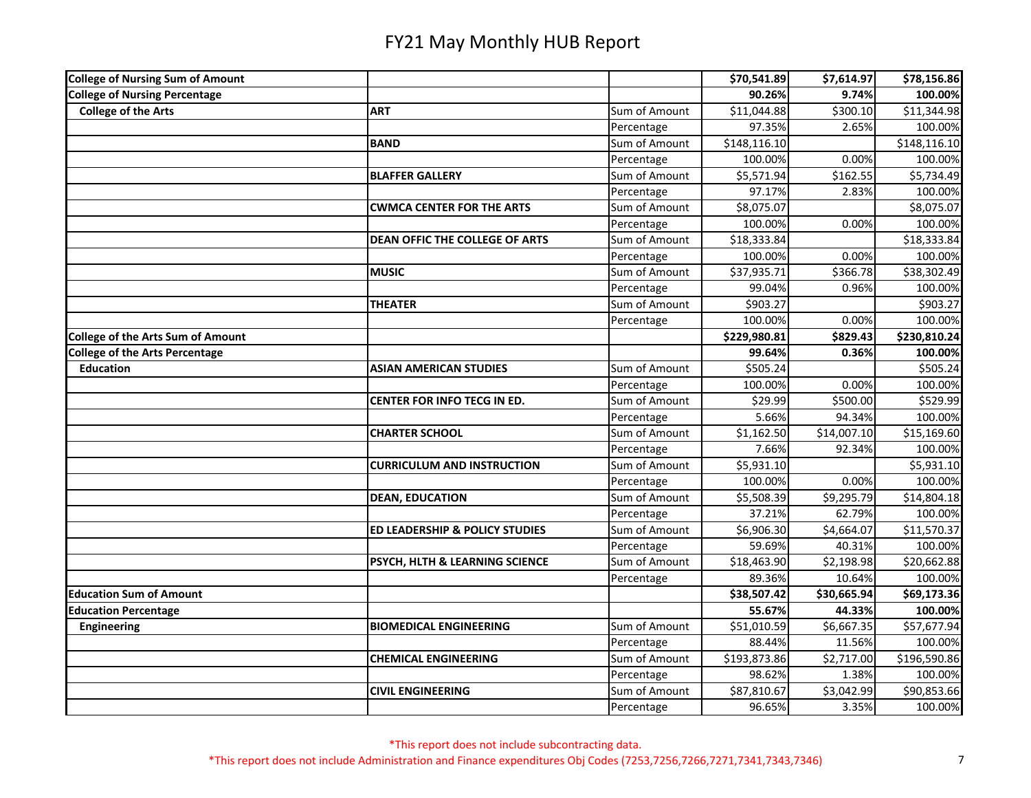| <b>College of Nursing Sum of Amount</b>  |                                       |               | \$70,541.89  | \$7,614.97  | \$78,156.86  |
|------------------------------------------|---------------------------------------|---------------|--------------|-------------|--------------|
| <b>College of Nursing Percentage</b>     |                                       |               | 90.26%       | 9.74%       | 100.00%      |
| <b>College of the Arts</b>               | <b>ART</b>                            | Sum of Amount | \$11,044.88  | \$300.10    | \$11,344.98  |
|                                          |                                       | Percentage    | 97.35%       | 2.65%       | 100.00%      |
|                                          | <b>BAND</b>                           | Sum of Amount | \$148,116.10 |             | \$148,116.10 |
|                                          |                                       | Percentage    | 100.00%      | 0.00%       | 100.00%      |
|                                          | <b>BLAFFER GALLERY</b>                | Sum of Amount | \$5,571.94   | \$162.55    | \$5,734.49   |
|                                          |                                       | Percentage    | 97.17%       | 2.83%       | 100.00%      |
|                                          | <b>CWMCA CENTER FOR THE ARTS</b>      | Sum of Amount | \$8,075.07   |             | \$8,075.07   |
|                                          |                                       | Percentage    | 100.00%      | 0.00%       | 100.00%      |
|                                          | <b>DEAN OFFIC THE COLLEGE OF ARTS</b> | Sum of Amount | \$18,333.84  |             | \$18,333.84  |
|                                          |                                       | Percentage    | 100.00%      | 0.00%       | 100.00%      |
|                                          | <b>MUSIC</b>                          | Sum of Amount | \$37,935.71  | \$366.78    | \$38,302.49  |
|                                          |                                       | Percentage    | 99.04%       | 0.96%       | 100.00%      |
|                                          | <b>THEATER</b>                        | Sum of Amount | \$903.27     |             | \$903.27     |
|                                          |                                       | Percentage    | 100.00%      | 0.00%       | 100.00%      |
| <b>College of the Arts Sum of Amount</b> |                                       |               | \$229,980.81 | \$829.43    | \$230,810.24 |
| <b>College of the Arts Percentage</b>    |                                       |               | 99.64%       | 0.36%       | 100.00%      |
| <b>Education</b>                         | <b>ASIAN AMERICAN STUDIES</b>         | Sum of Amount | \$505.24     |             | \$505.24     |
|                                          |                                       | Percentage    | 100.00%      | 0.00%       | 100.00%      |
|                                          | <b>CENTER FOR INFO TECG IN ED.</b>    | Sum of Amount | \$29.99      | \$500.00    | \$529.99     |
|                                          |                                       | Percentage    | 5.66%        | 94.34%      | 100.00%      |
|                                          | <b>CHARTER SCHOOL</b>                 | Sum of Amount | \$1,162.50   | \$14,007.10 | \$15,169.60  |
|                                          |                                       | Percentage    | 7.66%        | 92.34%      | 100.00%      |
|                                          | <b>CURRICULUM AND INSTRUCTION</b>     | Sum of Amount | \$5,931.10   |             | \$5,931.10   |
|                                          |                                       | Percentage    | 100.00%      | 0.00%       | 100.00%      |
|                                          | <b>DEAN, EDUCATION</b>                | Sum of Amount | \$5,508.39   | \$9,295.79  | \$14,804.18  |
|                                          |                                       | Percentage    | 37.21%       | 62.79%      | 100.00%      |
|                                          | ED LEADERSHIP & POLICY STUDIES        | Sum of Amount | \$6,906.30   | \$4,664.07  | \$11,570.37  |
|                                          |                                       | Percentage    | 59.69%       | 40.31%      | 100.00%      |
|                                          | PSYCH, HLTH & LEARNING SCIENCE        | Sum of Amount | \$18,463.90  | \$2,198.98  | \$20,662.88  |
|                                          |                                       | Percentage    | 89.36%       | 10.64%      | 100.00%      |
| <b>Education Sum of Amount</b>           |                                       |               | \$38,507.42  | \$30,665.94 | \$69,173.36  |
| <b>Education Percentage</b>              |                                       |               | 55.67%       | 44.33%      | 100.00%      |
| <b>Engineering</b>                       | <b>BIOMEDICAL ENGINEERING</b>         | Sum of Amount | \$51,010.59  | \$6,667.35  | \$57,677.94  |
|                                          |                                       | Percentage    | 88.44%       | 11.56%      | 100.00%      |
|                                          | <b>CHEMICAL ENGINEERING</b>           | Sum of Amount | \$193,873.86 | \$2,717.00  | \$196,590.86 |
|                                          |                                       | Percentage    | 98.62%       | 1.38%       | 100.00%      |
|                                          | <b>CIVIL ENGINEERING</b>              | Sum of Amount | \$87,810.67  | \$3,042.99  | \$90,853.66  |
|                                          |                                       | Percentage    | 96.65%       | 3.35%       | 100.00%      |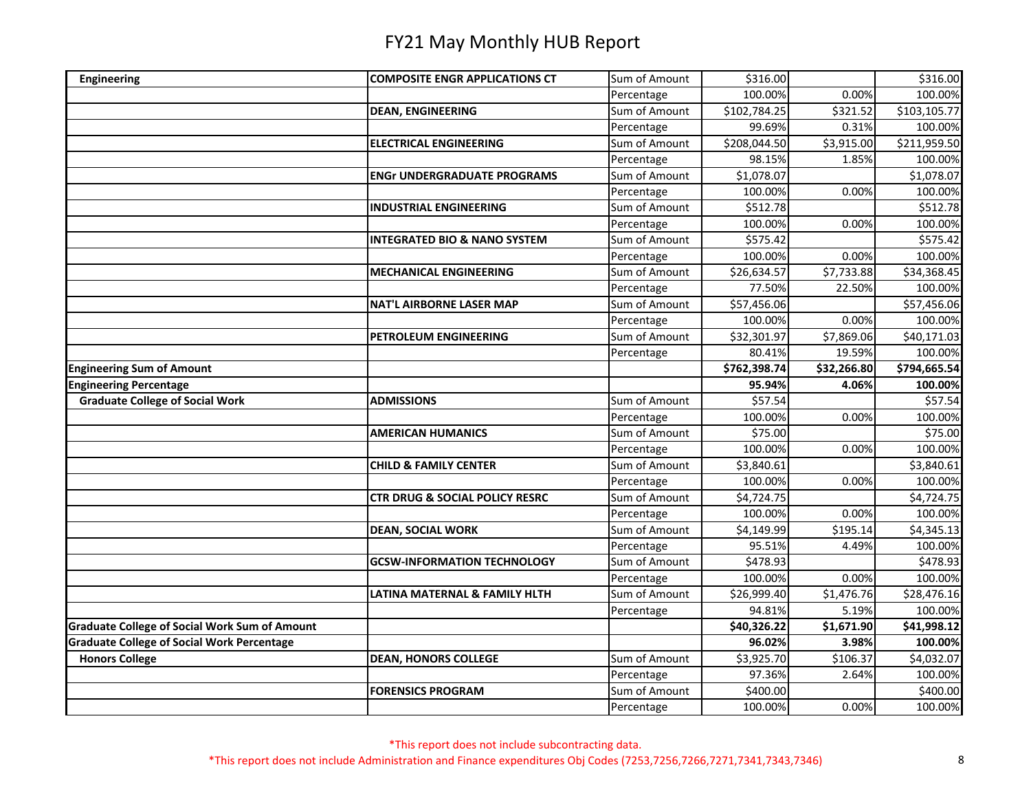| <b>COMPOSITE ENGR APPLICATIONS CT</b><br><b>Engineering</b><br>100.00%<br>0.00%<br>100.00%<br>Percentage<br>\$102,784.25<br>\$321.52<br>Sum of Amount<br>\$103,105.77<br><b>DEAN, ENGINEERING</b><br>99.69%<br>0.31%<br>100.00%<br>Percentage<br>\$211,959.50<br>Sum of Amount<br>\$208,044.50<br>\$3,915.00<br><b>ELECTRICAL ENGINEERING</b><br>98.15%<br>100.00%<br>Percentage<br>1.85%<br>Sum of Amount<br>\$1,078.07<br>\$1,078.07<br><b>ENGr UNDERGRADUATE PROGRAMS</b><br>Percentage<br>100.00%<br>0.00%<br>100.00%<br>\$512.78<br>Sum of Amount<br>\$512.78<br><b>INDUSTRIAL ENGINEERING</b><br>0.00%<br>100.00%<br>Percentage<br>100.00%<br>\$575.42<br>Sum of Amount<br>\$575.42<br><b>INTEGRATED BIO &amp; NANO SYSTEM</b><br>Percentage<br>100.00%<br>0.00%<br>100.00%<br>Sum of Amount<br>\$26,634.57<br>\$7,733.88<br>\$34,368.45<br><b>MECHANICAL ENGINEERING</b><br>Percentage<br>77.50%<br>100.00%<br>22.50%<br>Sum of Amount<br>\$57,456.06<br><b>NAT'L AIRBORNE LASER MAP</b><br>\$57,456.06<br>100.00%<br>0.00%<br>100.00%<br>Percentage<br>\$32,301.97<br>\$7,869.06<br>\$40,171.03<br>PETROLEUM ENGINEERING<br>Sum of Amount<br>19.59%<br>100.00%<br>80.41%<br>Percentage<br>\$762,398.74<br>\$32,266.80<br>\$794,665.54<br><b>Engineering Sum of Amount</b><br>95.94%<br>4.06%<br>100.00%<br><b>Graduate College of Social Work</b><br>\$57.54<br>Sum of Amount<br>\$57.54<br><b>ADMISSIONS</b><br>0.00%<br>Percentage<br>100.00%<br>100.00%<br><b>AMERICAN HUMANICS</b><br>Sum of Amount<br>\$75.00<br>\$75.00<br>Percentage<br>100.00%<br>0.00%<br>100.00%<br>Sum of Amount<br>\$3,840.61<br>\$3,840.61<br><b>CHILD &amp; FAMILY CENTER</b><br>Percentage<br>100.00%<br>0.00%<br>100.00%<br>Sum of Amount<br>\$4,724.75<br>\$4,724.75<br><b>CTR DRUG &amp; SOCIAL POLICY RESRC</b><br>Percentage<br>100.00%<br>0.00%<br>100.00%<br>Sum of Amount<br>\$4,149.99<br>\$195.14<br>\$4,345.13<br><b>DEAN, SOCIAL WORK</b><br>95.51%<br>4.49%<br>100.00%<br>Percentage<br>Sum of Amount<br>\$478.93<br>\$478.93<br><b>GCSW-INFORMATION TECHNOLOGY</b><br>100.00%<br>0.00%<br>100.00%<br>Percentage<br>Sum of Amount<br>\$26,999.40<br>\$1,476.76<br>\$28,476.16<br>LATINA MATERNAL & FAMILY HLTH<br>94.81%<br>5.19%<br>100.00%<br>Percentage<br>\$40,326.22<br>\$1,671.90<br>\$41,998.12<br>96.02%<br>3.98%<br>100.00%<br>Sum of Amount<br>\$4,032.07<br><b>Honors College</b><br><b>DEAN, HONORS COLLEGE</b><br>\$3,925.70<br>\$106.37<br>97.36%<br>Percentage<br>2.64%<br>100.00%<br>Sum of Amount<br>\$400.00<br>\$400.00<br><b>FORENSICS PROGRAM</b><br>100.00%<br>0.00%<br>100.00%<br>Percentage |                                                      |               |          |          |
|-------------------------------------------------------------------------------------------------------------------------------------------------------------------------------------------------------------------------------------------------------------------------------------------------------------------------------------------------------------------------------------------------------------------------------------------------------------------------------------------------------------------------------------------------------------------------------------------------------------------------------------------------------------------------------------------------------------------------------------------------------------------------------------------------------------------------------------------------------------------------------------------------------------------------------------------------------------------------------------------------------------------------------------------------------------------------------------------------------------------------------------------------------------------------------------------------------------------------------------------------------------------------------------------------------------------------------------------------------------------------------------------------------------------------------------------------------------------------------------------------------------------------------------------------------------------------------------------------------------------------------------------------------------------------------------------------------------------------------------------------------------------------------------------------------------------------------------------------------------------------------------------------------------------------------------------------------------------------------------------------------------------------------------------------------------------------------------------------------------------------------------------------------------------------------------------------------------------------------------------------------------------------------------------------------------------------------------------------------------------------------------------------------------------------------------------------------------------------------------------------------------------------------------------------------------------------------------------------------------------------|------------------------------------------------------|---------------|----------|----------|
|                                                                                                                                                                                                                                                                                                                                                                                                                                                                                                                                                                                                                                                                                                                                                                                                                                                                                                                                                                                                                                                                                                                                                                                                                                                                                                                                                                                                                                                                                                                                                                                                                                                                                                                                                                                                                                                                                                                                                                                                                                                                                                                                                                                                                                                                                                                                                                                                                                                                                                                                                                                                                         |                                                      | Sum of Amount | \$316.00 | \$316.00 |
|                                                                                                                                                                                                                                                                                                                                                                                                                                                                                                                                                                                                                                                                                                                                                                                                                                                                                                                                                                                                                                                                                                                                                                                                                                                                                                                                                                                                                                                                                                                                                                                                                                                                                                                                                                                                                                                                                                                                                                                                                                                                                                                                                                                                                                                                                                                                                                                                                                                                                                                                                                                                                         |                                                      |               |          |          |
|                                                                                                                                                                                                                                                                                                                                                                                                                                                                                                                                                                                                                                                                                                                                                                                                                                                                                                                                                                                                                                                                                                                                                                                                                                                                                                                                                                                                                                                                                                                                                                                                                                                                                                                                                                                                                                                                                                                                                                                                                                                                                                                                                                                                                                                                                                                                                                                                                                                                                                                                                                                                                         |                                                      |               |          |          |
|                                                                                                                                                                                                                                                                                                                                                                                                                                                                                                                                                                                                                                                                                                                                                                                                                                                                                                                                                                                                                                                                                                                                                                                                                                                                                                                                                                                                                                                                                                                                                                                                                                                                                                                                                                                                                                                                                                                                                                                                                                                                                                                                                                                                                                                                                                                                                                                                                                                                                                                                                                                                                         |                                                      |               |          |          |
|                                                                                                                                                                                                                                                                                                                                                                                                                                                                                                                                                                                                                                                                                                                                                                                                                                                                                                                                                                                                                                                                                                                                                                                                                                                                                                                                                                                                                                                                                                                                                                                                                                                                                                                                                                                                                                                                                                                                                                                                                                                                                                                                                                                                                                                                                                                                                                                                                                                                                                                                                                                                                         |                                                      |               |          |          |
|                                                                                                                                                                                                                                                                                                                                                                                                                                                                                                                                                                                                                                                                                                                                                                                                                                                                                                                                                                                                                                                                                                                                                                                                                                                                                                                                                                                                                                                                                                                                                                                                                                                                                                                                                                                                                                                                                                                                                                                                                                                                                                                                                                                                                                                                                                                                                                                                                                                                                                                                                                                                                         |                                                      |               |          |          |
|                                                                                                                                                                                                                                                                                                                                                                                                                                                                                                                                                                                                                                                                                                                                                                                                                                                                                                                                                                                                                                                                                                                                                                                                                                                                                                                                                                                                                                                                                                                                                                                                                                                                                                                                                                                                                                                                                                                                                                                                                                                                                                                                                                                                                                                                                                                                                                                                                                                                                                                                                                                                                         |                                                      |               |          |          |
|                                                                                                                                                                                                                                                                                                                                                                                                                                                                                                                                                                                                                                                                                                                                                                                                                                                                                                                                                                                                                                                                                                                                                                                                                                                                                                                                                                                                                                                                                                                                                                                                                                                                                                                                                                                                                                                                                                                                                                                                                                                                                                                                                                                                                                                                                                                                                                                                                                                                                                                                                                                                                         |                                                      |               |          |          |
|                                                                                                                                                                                                                                                                                                                                                                                                                                                                                                                                                                                                                                                                                                                                                                                                                                                                                                                                                                                                                                                                                                                                                                                                                                                                                                                                                                                                                                                                                                                                                                                                                                                                                                                                                                                                                                                                                                                                                                                                                                                                                                                                                                                                                                                                                                                                                                                                                                                                                                                                                                                                                         |                                                      |               |          |          |
|                                                                                                                                                                                                                                                                                                                                                                                                                                                                                                                                                                                                                                                                                                                                                                                                                                                                                                                                                                                                                                                                                                                                                                                                                                                                                                                                                                                                                                                                                                                                                                                                                                                                                                                                                                                                                                                                                                                                                                                                                                                                                                                                                                                                                                                                                                                                                                                                                                                                                                                                                                                                                         |                                                      |               |          |          |
|                                                                                                                                                                                                                                                                                                                                                                                                                                                                                                                                                                                                                                                                                                                                                                                                                                                                                                                                                                                                                                                                                                                                                                                                                                                                                                                                                                                                                                                                                                                                                                                                                                                                                                                                                                                                                                                                                                                                                                                                                                                                                                                                                                                                                                                                                                                                                                                                                                                                                                                                                                                                                         |                                                      |               |          |          |
|                                                                                                                                                                                                                                                                                                                                                                                                                                                                                                                                                                                                                                                                                                                                                                                                                                                                                                                                                                                                                                                                                                                                                                                                                                                                                                                                                                                                                                                                                                                                                                                                                                                                                                                                                                                                                                                                                                                                                                                                                                                                                                                                                                                                                                                                                                                                                                                                                                                                                                                                                                                                                         |                                                      |               |          |          |
|                                                                                                                                                                                                                                                                                                                                                                                                                                                                                                                                                                                                                                                                                                                                                                                                                                                                                                                                                                                                                                                                                                                                                                                                                                                                                                                                                                                                                                                                                                                                                                                                                                                                                                                                                                                                                                                                                                                                                                                                                                                                                                                                                                                                                                                                                                                                                                                                                                                                                                                                                                                                                         |                                                      |               |          |          |
|                                                                                                                                                                                                                                                                                                                                                                                                                                                                                                                                                                                                                                                                                                                                                                                                                                                                                                                                                                                                                                                                                                                                                                                                                                                                                                                                                                                                                                                                                                                                                                                                                                                                                                                                                                                                                                                                                                                                                                                                                                                                                                                                                                                                                                                                                                                                                                                                                                                                                                                                                                                                                         |                                                      |               |          |          |
|                                                                                                                                                                                                                                                                                                                                                                                                                                                                                                                                                                                                                                                                                                                                                                                                                                                                                                                                                                                                                                                                                                                                                                                                                                                                                                                                                                                                                                                                                                                                                                                                                                                                                                                                                                                                                                                                                                                                                                                                                                                                                                                                                                                                                                                                                                                                                                                                                                                                                                                                                                                                                         |                                                      |               |          |          |
|                                                                                                                                                                                                                                                                                                                                                                                                                                                                                                                                                                                                                                                                                                                                                                                                                                                                                                                                                                                                                                                                                                                                                                                                                                                                                                                                                                                                                                                                                                                                                                                                                                                                                                                                                                                                                                                                                                                                                                                                                                                                                                                                                                                                                                                                                                                                                                                                                                                                                                                                                                                                                         |                                                      |               |          |          |
|                                                                                                                                                                                                                                                                                                                                                                                                                                                                                                                                                                                                                                                                                                                                                                                                                                                                                                                                                                                                                                                                                                                                                                                                                                                                                                                                                                                                                                                                                                                                                                                                                                                                                                                                                                                                                                                                                                                                                                                                                                                                                                                                                                                                                                                                                                                                                                                                                                                                                                                                                                                                                         |                                                      |               |          |          |
|                                                                                                                                                                                                                                                                                                                                                                                                                                                                                                                                                                                                                                                                                                                                                                                                                                                                                                                                                                                                                                                                                                                                                                                                                                                                                                                                                                                                                                                                                                                                                                                                                                                                                                                                                                                                                                                                                                                                                                                                                                                                                                                                                                                                                                                                                                                                                                                                                                                                                                                                                                                                                         |                                                      |               |          |          |
|                                                                                                                                                                                                                                                                                                                                                                                                                                                                                                                                                                                                                                                                                                                                                                                                                                                                                                                                                                                                                                                                                                                                                                                                                                                                                                                                                                                                                                                                                                                                                                                                                                                                                                                                                                                                                                                                                                                                                                                                                                                                                                                                                                                                                                                                                                                                                                                                                                                                                                                                                                                                                         |                                                      |               |          |          |
|                                                                                                                                                                                                                                                                                                                                                                                                                                                                                                                                                                                                                                                                                                                                                                                                                                                                                                                                                                                                                                                                                                                                                                                                                                                                                                                                                                                                                                                                                                                                                                                                                                                                                                                                                                                                                                                                                                                                                                                                                                                                                                                                                                                                                                                                                                                                                                                                                                                                                                                                                                                                                         | <b>Engineering Percentage</b>                        |               |          |          |
|                                                                                                                                                                                                                                                                                                                                                                                                                                                                                                                                                                                                                                                                                                                                                                                                                                                                                                                                                                                                                                                                                                                                                                                                                                                                                                                                                                                                                                                                                                                                                                                                                                                                                                                                                                                                                                                                                                                                                                                                                                                                                                                                                                                                                                                                                                                                                                                                                                                                                                                                                                                                                         |                                                      |               |          |          |
|                                                                                                                                                                                                                                                                                                                                                                                                                                                                                                                                                                                                                                                                                                                                                                                                                                                                                                                                                                                                                                                                                                                                                                                                                                                                                                                                                                                                                                                                                                                                                                                                                                                                                                                                                                                                                                                                                                                                                                                                                                                                                                                                                                                                                                                                                                                                                                                                                                                                                                                                                                                                                         |                                                      |               |          |          |
|                                                                                                                                                                                                                                                                                                                                                                                                                                                                                                                                                                                                                                                                                                                                                                                                                                                                                                                                                                                                                                                                                                                                                                                                                                                                                                                                                                                                                                                                                                                                                                                                                                                                                                                                                                                                                                                                                                                                                                                                                                                                                                                                                                                                                                                                                                                                                                                                                                                                                                                                                                                                                         |                                                      |               |          |          |
|                                                                                                                                                                                                                                                                                                                                                                                                                                                                                                                                                                                                                                                                                                                                                                                                                                                                                                                                                                                                                                                                                                                                                                                                                                                                                                                                                                                                                                                                                                                                                                                                                                                                                                                                                                                                                                                                                                                                                                                                                                                                                                                                                                                                                                                                                                                                                                                                                                                                                                                                                                                                                         |                                                      |               |          |          |
|                                                                                                                                                                                                                                                                                                                                                                                                                                                                                                                                                                                                                                                                                                                                                                                                                                                                                                                                                                                                                                                                                                                                                                                                                                                                                                                                                                                                                                                                                                                                                                                                                                                                                                                                                                                                                                                                                                                                                                                                                                                                                                                                                                                                                                                                                                                                                                                                                                                                                                                                                                                                                         |                                                      |               |          |          |
|                                                                                                                                                                                                                                                                                                                                                                                                                                                                                                                                                                                                                                                                                                                                                                                                                                                                                                                                                                                                                                                                                                                                                                                                                                                                                                                                                                                                                                                                                                                                                                                                                                                                                                                                                                                                                                                                                                                                                                                                                                                                                                                                                                                                                                                                                                                                                                                                                                                                                                                                                                                                                         |                                                      |               |          |          |
|                                                                                                                                                                                                                                                                                                                                                                                                                                                                                                                                                                                                                                                                                                                                                                                                                                                                                                                                                                                                                                                                                                                                                                                                                                                                                                                                                                                                                                                                                                                                                                                                                                                                                                                                                                                                                                                                                                                                                                                                                                                                                                                                                                                                                                                                                                                                                                                                                                                                                                                                                                                                                         |                                                      |               |          |          |
|                                                                                                                                                                                                                                                                                                                                                                                                                                                                                                                                                                                                                                                                                                                                                                                                                                                                                                                                                                                                                                                                                                                                                                                                                                                                                                                                                                                                                                                                                                                                                                                                                                                                                                                                                                                                                                                                                                                                                                                                                                                                                                                                                                                                                                                                                                                                                                                                                                                                                                                                                                                                                         |                                                      |               |          |          |
|                                                                                                                                                                                                                                                                                                                                                                                                                                                                                                                                                                                                                                                                                                                                                                                                                                                                                                                                                                                                                                                                                                                                                                                                                                                                                                                                                                                                                                                                                                                                                                                                                                                                                                                                                                                                                                                                                                                                                                                                                                                                                                                                                                                                                                                                                                                                                                                                                                                                                                                                                                                                                         |                                                      |               |          |          |
|                                                                                                                                                                                                                                                                                                                                                                                                                                                                                                                                                                                                                                                                                                                                                                                                                                                                                                                                                                                                                                                                                                                                                                                                                                                                                                                                                                                                                                                                                                                                                                                                                                                                                                                                                                                                                                                                                                                                                                                                                                                                                                                                                                                                                                                                                                                                                                                                                                                                                                                                                                                                                         |                                                      |               |          |          |
|                                                                                                                                                                                                                                                                                                                                                                                                                                                                                                                                                                                                                                                                                                                                                                                                                                                                                                                                                                                                                                                                                                                                                                                                                                                                                                                                                                                                                                                                                                                                                                                                                                                                                                                                                                                                                                                                                                                                                                                                                                                                                                                                                                                                                                                                                                                                                                                                                                                                                                                                                                                                                         |                                                      |               |          |          |
|                                                                                                                                                                                                                                                                                                                                                                                                                                                                                                                                                                                                                                                                                                                                                                                                                                                                                                                                                                                                                                                                                                                                                                                                                                                                                                                                                                                                                                                                                                                                                                                                                                                                                                                                                                                                                                                                                                                                                                                                                                                                                                                                                                                                                                                                                                                                                                                                                                                                                                                                                                                                                         |                                                      |               |          |          |
|                                                                                                                                                                                                                                                                                                                                                                                                                                                                                                                                                                                                                                                                                                                                                                                                                                                                                                                                                                                                                                                                                                                                                                                                                                                                                                                                                                                                                                                                                                                                                                                                                                                                                                                                                                                                                                                                                                                                                                                                                                                                                                                                                                                                                                                                                                                                                                                                                                                                                                                                                                                                                         |                                                      |               |          |          |
|                                                                                                                                                                                                                                                                                                                                                                                                                                                                                                                                                                                                                                                                                                                                                                                                                                                                                                                                                                                                                                                                                                                                                                                                                                                                                                                                                                                                                                                                                                                                                                                                                                                                                                                                                                                                                                                                                                                                                                                                                                                                                                                                                                                                                                                                                                                                                                                                                                                                                                                                                                                                                         |                                                      |               |          |          |
|                                                                                                                                                                                                                                                                                                                                                                                                                                                                                                                                                                                                                                                                                                                                                                                                                                                                                                                                                                                                                                                                                                                                                                                                                                                                                                                                                                                                                                                                                                                                                                                                                                                                                                                                                                                                                                                                                                                                                                                                                                                                                                                                                                                                                                                                                                                                                                                                                                                                                                                                                                                                                         | <b>Graduate College of Social Work Sum of Amount</b> |               |          |          |
|                                                                                                                                                                                                                                                                                                                                                                                                                                                                                                                                                                                                                                                                                                                                                                                                                                                                                                                                                                                                                                                                                                                                                                                                                                                                                                                                                                                                                                                                                                                                                                                                                                                                                                                                                                                                                                                                                                                                                                                                                                                                                                                                                                                                                                                                                                                                                                                                                                                                                                                                                                                                                         | <b>Graduate College of Social Work Percentage</b>    |               |          |          |
|                                                                                                                                                                                                                                                                                                                                                                                                                                                                                                                                                                                                                                                                                                                                                                                                                                                                                                                                                                                                                                                                                                                                                                                                                                                                                                                                                                                                                                                                                                                                                                                                                                                                                                                                                                                                                                                                                                                                                                                                                                                                                                                                                                                                                                                                                                                                                                                                                                                                                                                                                                                                                         |                                                      |               |          |          |
|                                                                                                                                                                                                                                                                                                                                                                                                                                                                                                                                                                                                                                                                                                                                                                                                                                                                                                                                                                                                                                                                                                                                                                                                                                                                                                                                                                                                                                                                                                                                                                                                                                                                                                                                                                                                                                                                                                                                                                                                                                                                                                                                                                                                                                                                                                                                                                                                                                                                                                                                                                                                                         |                                                      |               |          |          |
|                                                                                                                                                                                                                                                                                                                                                                                                                                                                                                                                                                                                                                                                                                                                                                                                                                                                                                                                                                                                                                                                                                                                                                                                                                                                                                                                                                                                                                                                                                                                                                                                                                                                                                                                                                                                                                                                                                                                                                                                                                                                                                                                                                                                                                                                                                                                                                                                                                                                                                                                                                                                                         |                                                      |               |          |          |
|                                                                                                                                                                                                                                                                                                                                                                                                                                                                                                                                                                                                                                                                                                                                                                                                                                                                                                                                                                                                                                                                                                                                                                                                                                                                                                                                                                                                                                                                                                                                                                                                                                                                                                                                                                                                                                                                                                                                                                                                                                                                                                                                                                                                                                                                                                                                                                                                                                                                                                                                                                                                                         |                                                      |               |          |          |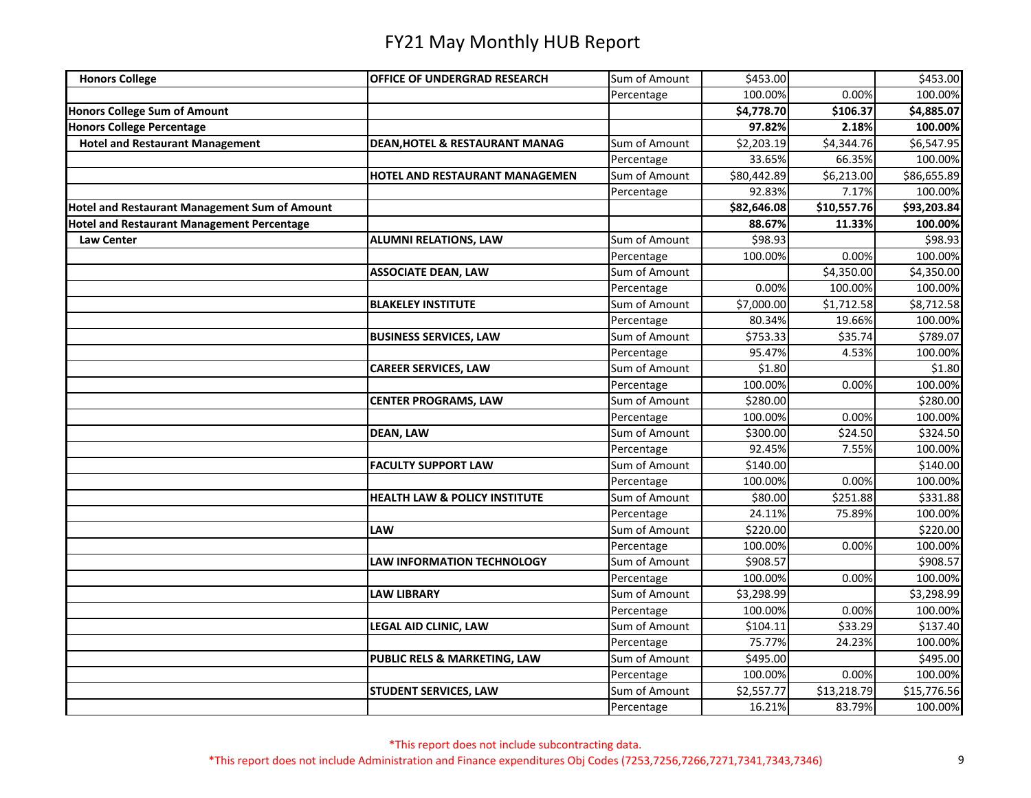| <b>Honors College</b>                                | <b>OFFICE OF UNDERGRAD RESEARCH</b>      | Sum of Amount | \$453.00    |             | \$453.00             |
|------------------------------------------------------|------------------------------------------|---------------|-------------|-------------|----------------------|
|                                                      |                                          | Percentage    | 100.00%     | 0.00%       | 100.00%              |
| <b>Honors College Sum of Amount</b>                  |                                          |               | \$4,778.70  | \$106.37    | \$4,885.07           |
| <b>Honors College Percentage</b>                     |                                          |               | 97.82%      | 2.18%       | 100.00%              |
| <b>Hotel and Restaurant Management</b>               | DEAN, HOTEL & RESTAURANT MANAG           | Sum of Amount | \$2,203.19  | \$4,344.76  | \$6,547.95           |
|                                                      |                                          | Percentage    | 33.65%      | 66.35%      | 100.00%              |
|                                                      | HOTEL AND RESTAURANT MANAGEMEN           | Sum of Amount | \$80,442.89 | \$6,213.00  | \$86,655.89          |
|                                                      |                                          | Percentage    | 92.83%      | 7.17%       | 100.00%              |
| <b>Hotel and Restaurant Management Sum of Amount</b> |                                          |               | \$82,646.08 | \$10,557.76 | \$93,203.84          |
| <b>Hotel and Restaurant Management Percentage</b>    |                                          |               | 88.67%      | 11.33%      | 100.00%              |
| <b>Law Center</b>                                    | <b>ALUMNI RELATIONS, LAW</b>             | Sum of Amount | \$98.93     |             | \$98.93              |
|                                                      |                                          | Percentage    | 100.00%     | 0.00%       | 100.00%              |
|                                                      | <b>ASSOCIATE DEAN, LAW</b>               | Sum of Amount |             | \$4,350.00  | \$4,350.00           |
|                                                      |                                          | Percentage    | 0.00%       | 100.00%     | 100.00%              |
|                                                      | <b>BLAKELEY INSTITUTE</b>                | Sum of Amount | \$7,000.00  | \$1,712.58  | \$8,712.58           |
|                                                      |                                          | Percentage    | 80.34%      | 19.66%      | 100.00%              |
|                                                      | <b>BUSINESS SERVICES, LAW</b>            | Sum of Amount | \$753.33    | \$35.74     | \$789.07             |
|                                                      |                                          | Percentage    | 95.47%      | 4.53%       | 100.00%              |
|                                                      | <b>CAREER SERVICES, LAW</b>              | Sum of Amount | \$1.80      |             | \$1.80               |
|                                                      |                                          | Percentage    | 100.00%     | 0.00%       | 100.00%              |
|                                                      | <b>CENTER PROGRAMS, LAW</b>              | Sum of Amount | \$280.00    |             | \$280.00             |
|                                                      |                                          | Percentage    | 100.00%     | 0.00%       | 100.00%              |
|                                                      | <b>DEAN, LAW</b>                         | Sum of Amount | \$300.00    | \$24.50     | \$324.50             |
|                                                      |                                          | Percentage    | 92.45%      | 7.55%       | 100.00%              |
|                                                      | <b>FACULTY SUPPORT LAW</b>               | Sum of Amount | \$140.00    |             | $\overline{$}140.00$ |
|                                                      |                                          | Percentage    | 100.00%     | 0.00%       | 100.00%              |
|                                                      | <b>HEALTH LAW &amp; POLICY INSTITUTE</b> | Sum of Amount | \$80.00     | \$251.88    | \$331.88             |
|                                                      |                                          | Percentage    | 24.11%      | 75.89%      | 100.00%              |
|                                                      | <b>LAW</b>                               | Sum of Amount | \$220.00    |             | \$220.00             |
|                                                      |                                          | Percentage    | 100.00%     | 0.00%       | 100.00%              |
|                                                      | <b>LAW INFORMATION TECHNOLOGY</b>        | Sum of Amount | \$908.57    |             | \$908.57             |
|                                                      |                                          | Percentage    | 100.00%     | 0.00%       | 100.00%              |
|                                                      | <b>LAW LIBRARY</b>                       | Sum of Amount | \$3,298.99  |             | \$3,298.99           |
|                                                      |                                          | Percentage    | 100.00%     | 0.00%       | 100.00%              |
|                                                      | <b>LEGAL AID CLINIC, LAW</b>             | Sum of Amount | \$104.11    | \$33.29     | \$137.40             |
|                                                      |                                          | Percentage    | 75.77%      | 24.23%      | 100.00%              |
|                                                      | PUBLIC RELS & MARKETING, LAW             | Sum of Amount | \$495.00    |             | \$495.00             |
|                                                      |                                          | Percentage    | 100.00%     | 0.00%       | 100.00%              |
|                                                      | <b>STUDENT SERVICES, LAW</b>             | Sum of Amount | \$2,557.77  | \$13,218.79 | \$15,776.56          |
|                                                      |                                          | Percentage    | 16.21%      | 83.79%      | 100.00%              |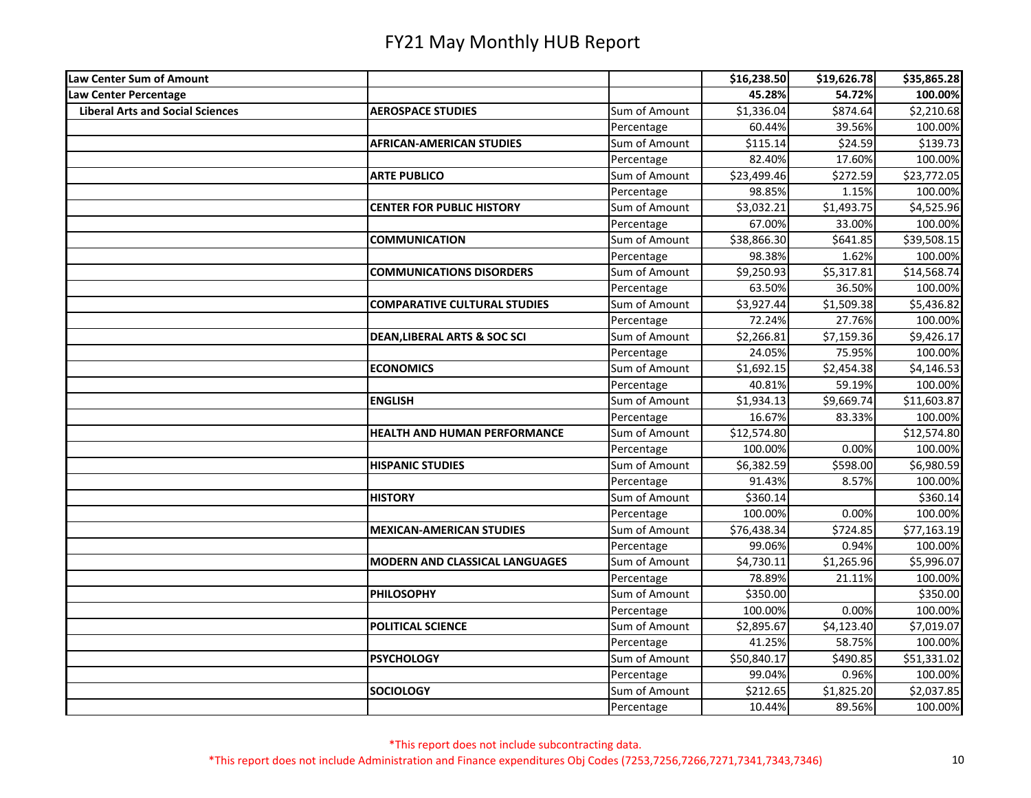| Law Center Sum of Amount                |                                         |               | \$16,238.50 | \$19,626.78 | \$35,865.28 |
|-----------------------------------------|-----------------------------------------|---------------|-------------|-------------|-------------|
| Law Center Percentage                   |                                         |               | 45.28%      | 54.72%      | 100.00%     |
| <b>Liberal Arts and Social Sciences</b> | <b>AEROSPACE STUDIES</b>                | Sum of Amount | \$1,336.04  | \$874.64    | \$2,210.68  |
|                                         |                                         | Percentage    | 60.44%      | 39.56%      | 100.00%     |
|                                         | <b>AFRICAN-AMERICAN STUDIES</b>         | Sum of Amount | \$115.14    | \$24.59     | \$139.73    |
|                                         |                                         | Percentage    | 82.40%      | 17.60%      | 100.00%     |
|                                         | <b>ARTE PUBLICO</b>                     | Sum of Amount | \$23,499.46 | \$272.59    | \$23,772.05 |
|                                         |                                         | Percentage    | 98.85%      | 1.15%       | 100.00%     |
|                                         | <b>CENTER FOR PUBLIC HISTORY</b>        | Sum of Amount | \$3,032.21  | \$1,493.75  | \$4,525.96  |
|                                         |                                         | Percentage    | 67.00%      | 33.00%      | 100.00%     |
|                                         | <b>COMMUNICATION</b>                    | Sum of Amount | \$38,866.30 | \$641.85    | \$39,508.15 |
|                                         |                                         | Percentage    | 98.38%      | 1.62%       | 100.00%     |
|                                         | <b>COMMUNICATIONS DISORDERS</b>         | Sum of Amount | \$9,250.93  | \$5,317.81  | \$14,568.74 |
|                                         |                                         | Percentage    | 63.50%      | 36.50%      | 100.00%     |
|                                         | <b>COMPARATIVE CULTURAL STUDIES</b>     | Sum of Amount | \$3,927.44  | \$1,509.38  | \$5,436.82  |
|                                         |                                         | Percentage    | 72.24%      | 27.76%      | 100.00%     |
|                                         | <b>DEAN, LIBERAL ARTS &amp; SOC SCI</b> | Sum of Amount | \$2,266.81  | \$7,159.36  | \$9,426.17  |
|                                         |                                         | Percentage    | 24.05%      | 75.95%      | 100.00%     |
|                                         | <b>ECONOMICS</b>                        | Sum of Amount | \$1,692.15  | \$2,454.38  | \$4,146.53  |
|                                         |                                         | Percentage    | 40.81%      | 59.19%      | 100.00%     |
|                                         | <b>ENGLISH</b>                          | Sum of Amount | \$1,934.13  | \$9,669.74  | \$11,603.87 |
|                                         |                                         | Percentage    | 16.67%      | 83.33%      | 100.00%     |
|                                         | <b>HEALTH AND HUMAN PERFORMANCE</b>     | Sum of Amount | \$12,574.80 |             | \$12,574.80 |
|                                         |                                         | Percentage    | 100.00%     | 0.00%       | 100.00%     |
|                                         | <b>HISPANIC STUDIES</b>                 | Sum of Amount | \$6,382.59  | \$598.00    | \$6,980.59  |
|                                         |                                         | Percentage    | 91.43%      | 8.57%       | 100.00%     |
|                                         | <b>HISTORY</b>                          | Sum of Amount | \$360.14    |             | \$360.14    |
|                                         |                                         | Percentage    | 100.00%     | 0.00%       | 100.00%     |
|                                         | <b>MEXICAN-AMERICAN STUDIES</b>         | Sum of Amount | \$76,438.34 | \$724.85    | \$77,163.19 |
|                                         |                                         | Percentage    | 99.06%      | 0.94%       | 100.00%     |
|                                         | <b>MODERN AND CLASSICAL LANGUAGES</b>   | Sum of Amount | \$4,730.11  | \$1,265.96  | \$5,996.07  |
|                                         |                                         | Percentage    | 78.89%      | 21.11%      | 100.00%     |
|                                         | <b>PHILOSOPHY</b>                       | Sum of Amount | \$350.00    |             | \$350.00    |
|                                         |                                         | Percentage    | 100.00%     | 0.00%       | 100.00%     |
|                                         | POLITICAL SCIENCE                       | Sum of Amount | \$2,895.67  | \$4,123.40  | \$7,019.07  |
|                                         |                                         | Percentage    | 41.25%      | 58.75%      | 100.00%     |
|                                         | <b>PSYCHOLOGY</b>                       | Sum of Amount | \$50,840.17 | \$490.85    | \$51,331.02 |
|                                         |                                         | Percentage    | 99.04%      | 0.96%       | 100.00%     |
|                                         | <b>SOCIOLOGY</b>                        | Sum of Amount | \$212.65    | \$1,825.20  | \$2,037.85  |
|                                         |                                         | Percentage    | 10.44%      | 89.56%      | 100.00%     |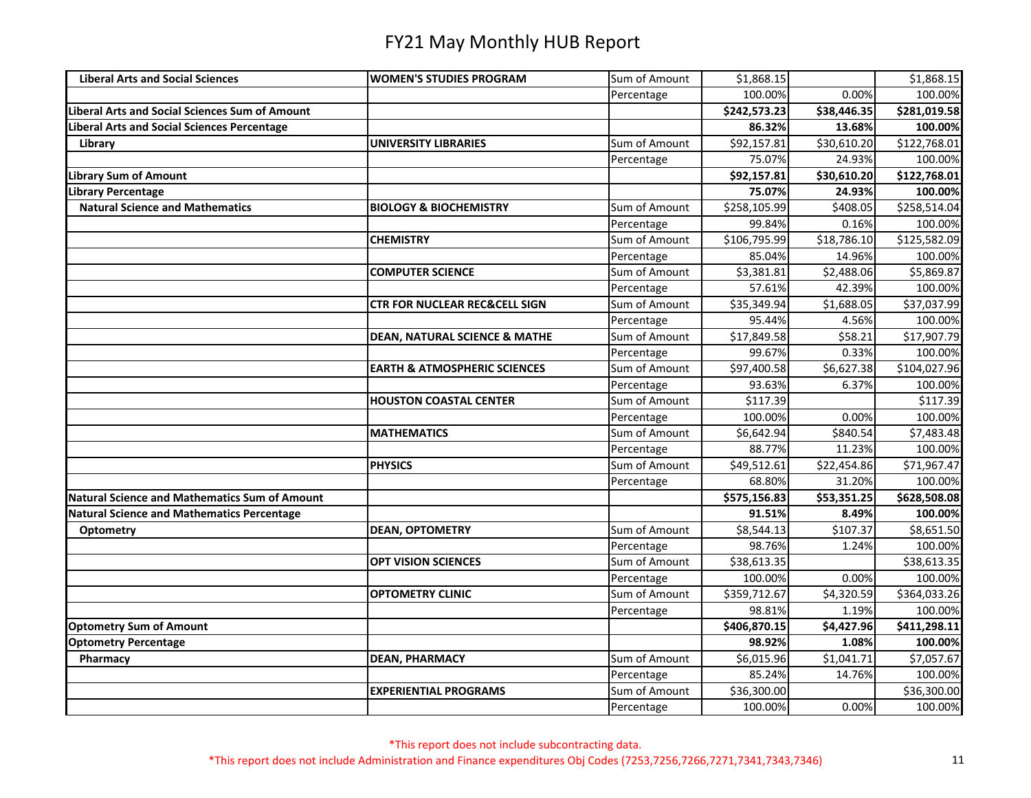| <b>Liberal Arts and Social Sciences</b>               | <b>WOMEN'S STUDIES PROGRAM</b>           | Sum of Amount | \$1,868.15   |             | \$1,868.15   |
|-------------------------------------------------------|------------------------------------------|---------------|--------------|-------------|--------------|
|                                                       |                                          | Percentage    | 100.00%      | 0.00%       | 100.00%      |
| <b>Liberal Arts and Social Sciences Sum of Amount</b> |                                          |               | \$242,573.23 | \$38,446.35 | \$281,019.58 |
| <b>Liberal Arts and Social Sciences Percentage</b>    |                                          |               | 86.32%       | 13.68%      | 100.00%      |
| Library                                               | <b>UNIVERSITY LIBRARIES</b>              | Sum of Amount | \$92,157.81  | \$30,610.20 | \$122,768.01 |
|                                                       |                                          | Percentage    | 75.07%       | 24.93%      | 100.00%      |
| <b>Library Sum of Amount</b>                          |                                          |               | \$92,157.81  | \$30,610.20 | \$122,768.01 |
| <b>Library Percentage</b>                             |                                          |               | 75.07%       | 24.93%      | 100.00%      |
| <b>Natural Science and Mathematics</b>                | <b>BIOLOGY &amp; BIOCHEMISTRY</b>        | Sum of Amount | \$258,105.99 | \$408.05    | \$258,514.04 |
|                                                       |                                          | Percentage    | 99.84%       | 0.16%       | 100.00%      |
|                                                       | <b>CHEMISTRY</b>                         | Sum of Amount | \$106,795.99 | \$18,786.10 | \$125,582.09 |
|                                                       |                                          | Percentage    | 85.04%       | 14.96%      | 100.00%      |
|                                                       | <b>COMPUTER SCIENCE</b>                  | Sum of Amount | \$3,381.81   | \$2,488.06  | \$5,869.87   |
|                                                       |                                          | Percentage    | 57.61%       | 42.39%      | 100.00%      |
|                                                       | <b>CTR FOR NUCLEAR REC&amp;CELL SIGN</b> | Sum of Amount | \$35,349.94  | \$1,688.05  | \$37,037.99  |
|                                                       |                                          | Percentage    | 95.44%       | 4.56%       | 100.00%      |
|                                                       | <b>DEAN, NATURAL SCIENCE &amp; MATHE</b> | Sum of Amount | \$17,849.58  | \$58.21     | \$17,907.79  |
|                                                       |                                          | Percentage    | 99.67%       | 0.33%       | 100.00%      |
|                                                       | <b>EARTH &amp; ATMOSPHERIC SCIENCES</b>  | Sum of Amount | \$97,400.58  | \$6,627.38  | \$104,027.96 |
|                                                       |                                          | Percentage    | 93.63%       | 6.37%       | 100.00%      |
|                                                       | <b>HOUSTON COASTAL CENTER</b>            | Sum of Amount | \$117.39     |             | \$117.39     |
|                                                       |                                          | Percentage    | 100.00%      | 0.00%       | 100.00%      |
|                                                       | <b>MATHEMATICS</b>                       | Sum of Amount | \$6,642.94   | \$840.54    | \$7,483.48   |
|                                                       |                                          | Percentage    | 88.77%       | 11.23%      | 100.00%      |
|                                                       | <b>PHYSICS</b>                           | Sum of Amount | \$49,512.61  | \$22,454.86 | \$71,967.47  |
|                                                       |                                          | Percentage    | 68.80%       | 31.20%      | 100.00%      |
| <b>Natural Science and Mathematics Sum of Amount</b>  |                                          |               | \$575,156.83 | \$53,351.25 | \$628,508.08 |
| <b>Natural Science and Mathematics Percentage</b>     |                                          |               | 91.51%       | 8.49%       | 100.00%      |
| Optometry                                             | <b>DEAN, OPTOMETRY</b>                   | Sum of Amount | \$8,544.13   | \$107.37    | \$8,651.50   |
|                                                       |                                          | Percentage    | 98.76%       | 1.24%       | 100.00%      |
|                                                       | <b>OPT VISION SCIENCES</b>               | Sum of Amount | \$38,613.35  |             | \$38,613.35  |
|                                                       |                                          | Percentage    | 100.00%      | 0.00%       | 100.00%      |
|                                                       | <b>OPTOMETRY CLINIC</b>                  | Sum of Amount | \$359,712.67 | \$4,320.59  | \$364,033.26 |
|                                                       |                                          | Percentage    | 98.81%       | 1.19%       | 100.00%      |
| <b>Optometry Sum of Amount</b>                        |                                          |               | \$406,870.15 | \$4,427.96  | \$411,298.11 |
| <b>Optometry Percentage</b>                           |                                          |               | 98.92%       | 1.08%       | 100.00%      |
| Pharmacy                                              | <b>DEAN, PHARMACY</b>                    | Sum of Amount | \$6,015.96   | \$1,041.71  | \$7,057.67   |
|                                                       |                                          | Percentage    | 85.24%       | 14.76%      | 100.00%      |
|                                                       | <b>EXPERIENTIAL PROGRAMS</b>             | Sum of Amount | \$36,300.00  |             | \$36,300.00  |
|                                                       |                                          | Percentage    | 100.00%      | 0.00%       | 100.00%      |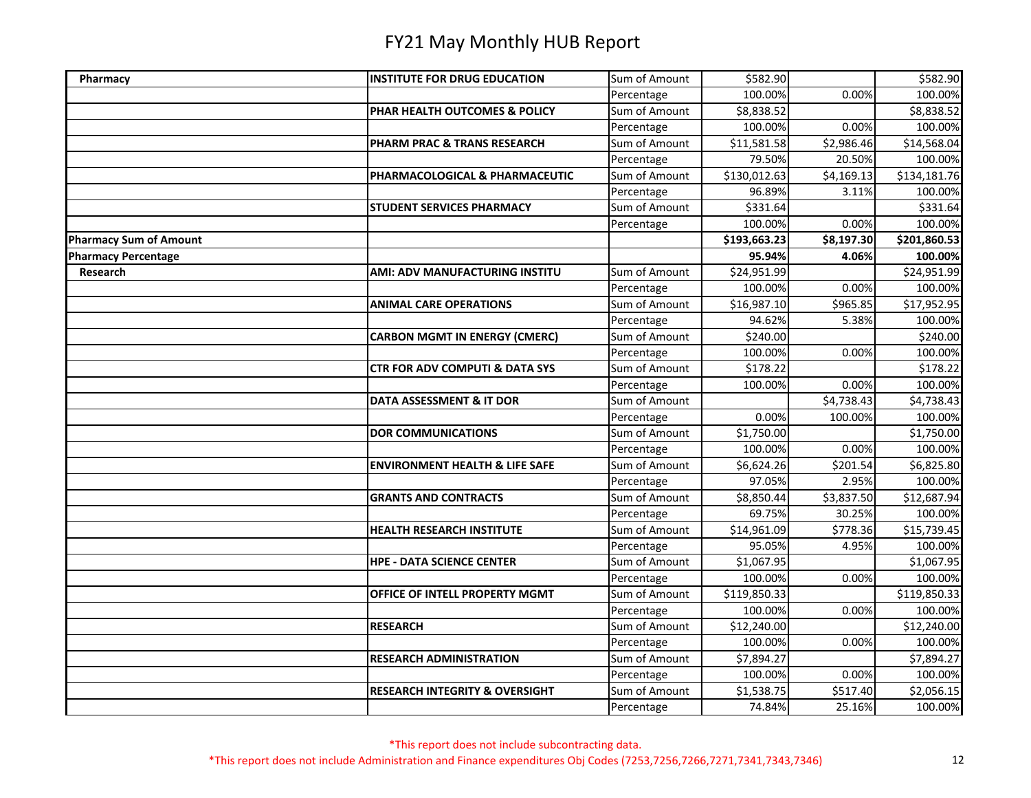| Pharmacy                      | <b>INSTITUTE FOR DRUG EDUCATION</b>       | Sum of Amount | \$582.90     |            | \$582.90     |
|-------------------------------|-------------------------------------------|---------------|--------------|------------|--------------|
|                               |                                           | Percentage    | 100.00%      | 0.00%      | 100.00%      |
|                               | PHAR HEALTH OUTCOMES & POLICY             | Sum of Amount | \$8,838.52   |            | \$8,838.52   |
|                               |                                           | Percentage    | 100.00%      | 0.00%      | 100.00%      |
|                               | PHARM PRAC & TRANS RESEARCH               | Sum of Amount | \$11,581.58  | \$2,986.46 | \$14,568.04  |
|                               |                                           | Percentage    | 79.50%       | 20.50%     | 100.00%      |
|                               | PHARMACOLOGICAL & PHARMACEUTIC            | Sum of Amount | \$130,012.63 | \$4,169.13 | \$134,181.76 |
|                               |                                           | Percentage    | 96.89%       | 3.11%      | 100.00%      |
|                               | <b>STUDENT SERVICES PHARMACY</b>          | Sum of Amount | \$331.64     |            | \$331.64     |
|                               |                                           | Percentage    | 100.00%      | 0.00%      | 100.00%      |
| <b>Pharmacy Sum of Amount</b> |                                           |               | \$193,663.23 | \$8,197.30 | \$201,860.53 |
| <b>Pharmacy Percentage</b>    |                                           |               | 95.94%       | 4.06%      | 100.00%      |
| <b>Research</b>               | AMI: ADV MANUFACTURING INSTITU            | Sum of Amount | \$24,951.99  |            | \$24,951.99  |
|                               |                                           | Percentage    | 100.00%      | 0.00%      | 100.00%      |
|                               | <b>ANIMAL CARE OPERATIONS</b>             | Sum of Amount | \$16,987.10  | \$965.85   | \$17,952.95  |
|                               |                                           | Percentage    | 94.62%       | 5.38%      | 100.00%      |
|                               | <b>CARBON MGMT IN ENERGY (CMERC)</b>      | Sum of Amount | \$240.00     |            | \$240.00     |
|                               |                                           | Percentage    | 100.00%      | 0.00%      | 100.00%      |
|                               | <b>CTR FOR ADV COMPUTI &amp; DATA SYS</b> | Sum of Amount | \$178.22     |            | \$178.22     |
|                               |                                           | Percentage    | 100.00%      | 0.00%      | 100.00%      |
|                               | DATA ASSESSMENT & IT DOR                  | Sum of Amount |              | \$4,738.43 | \$4,738.43   |
|                               |                                           | Percentage    | 0.00%        | 100.00%    | 100.00%      |
|                               | <b>DOR COMMUNICATIONS</b>                 | Sum of Amount | \$1,750.00   |            | \$1,750.00   |
|                               |                                           | Percentage    | 100.00%      | 0.00%      | 100.00%      |
|                               | <b>ENVIRONMENT HEALTH &amp; LIFE SAFE</b> | Sum of Amount | \$6,624.26   | \$201.54   | \$6,825.80   |
|                               |                                           | Percentage    | 97.05%       | 2.95%      | 100.00%      |
|                               | <b>GRANTS AND CONTRACTS</b>               | Sum of Amount | \$8,850.44   | \$3,837.50 | \$12,687.94  |
|                               |                                           | Percentage    | 69.75%       | 30.25%     | 100.00%      |
|                               | <b>HEALTH RESEARCH INSTITUTE</b>          | Sum of Amount | \$14,961.09  | \$778.36   | \$15,739.45  |
|                               |                                           | Percentage    | 95.05%       | 4.95%      | 100.00%      |
|                               | <b>HPE - DATA SCIENCE CENTER</b>          | Sum of Amount | \$1,067.95   |            | \$1,067.95   |
|                               |                                           | Percentage    | 100.00%      | 0.00%      | 100.00%      |
|                               | OFFICE OF INTELL PROPERTY MGMT            | Sum of Amount | \$119,850.33 |            | \$119,850.33 |
|                               |                                           | Percentage    | 100.00%      | 0.00%      | 100.00%      |
|                               | <b>RESEARCH</b>                           | Sum of Amount | \$12,240.00  |            | \$12,240.00  |
|                               |                                           | Percentage    | 100.00%      | 0.00%      | 100.00%      |
|                               | <b>RESEARCH ADMINISTRATION</b>            | Sum of Amount | \$7,894.27   |            | \$7,894.27   |
|                               |                                           | Percentage    | 100.00%      | 0.00%      | 100.00%      |
|                               | <b>RESEARCH INTEGRITY &amp; OVERSIGHT</b> | Sum of Amount | \$1,538.75   | \$517.40   | \$2,056.15   |
|                               |                                           | Percentage    | 74.84%       | 25.16%     | 100.00%      |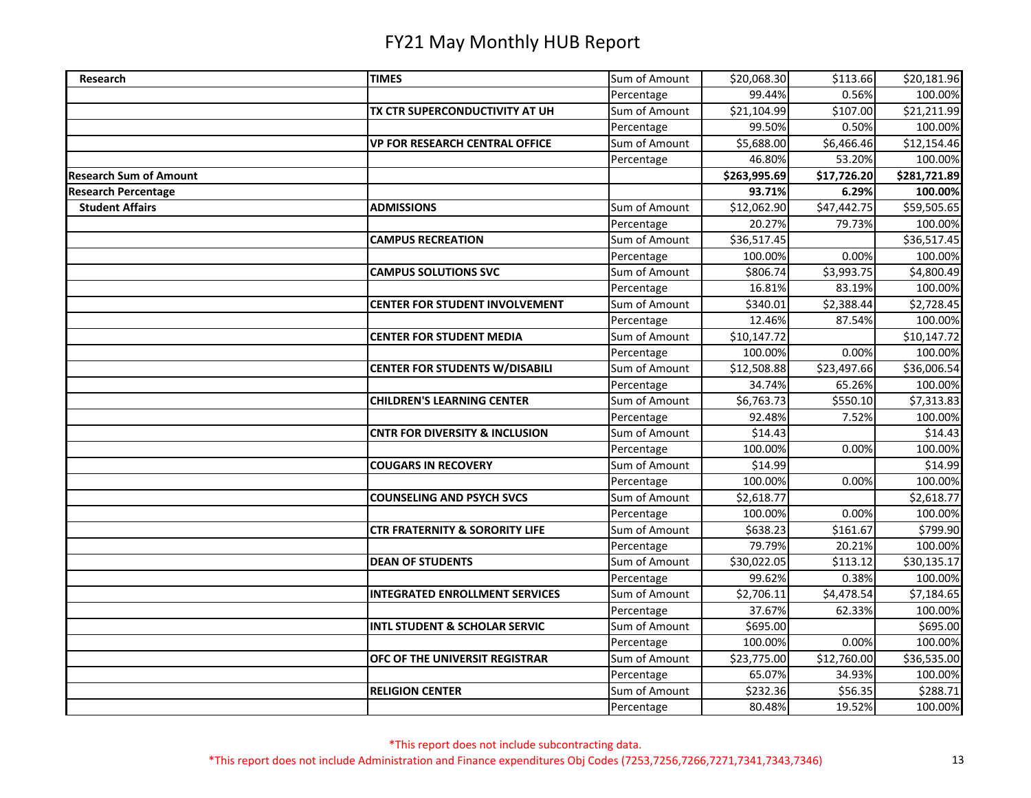| Research                      | <b>TIMES</b>                              | Sum of Amount | \$20,068.30  | \$113.66    | \$20,181.96  |
|-------------------------------|-------------------------------------------|---------------|--------------|-------------|--------------|
|                               |                                           | Percentage    | 99.44%       | 0.56%       | 100.00%      |
|                               | TX CTR SUPERCONDUCTIVITY AT UH            | Sum of Amount | \$21,104.99  | \$107.00    | \$21,211.99  |
|                               |                                           | Percentage    | 99.50%       | 0.50%       | 100.00%      |
|                               | <b>VP FOR RESEARCH CENTRAL OFFICE</b>     | Sum of Amount | \$5,688.00   | \$6,466.46  | \$12,154.46  |
|                               |                                           | Percentage    | 46.80%       | 53.20%      | 100.00%      |
| <b>Research Sum of Amount</b> |                                           |               | \$263,995.69 | \$17,726.20 | \$281,721.89 |
| <b>Research Percentage</b>    |                                           |               | 93.71%       | 6.29%       | 100.00%      |
| <b>Student Affairs</b>        | <b>ADMISSIONS</b>                         | Sum of Amount | \$12,062.90  | \$47,442.75 | \$59,505.65  |
|                               |                                           | Percentage    | 20.27%       | 79.73%      | 100.00%      |
|                               | <b>CAMPUS RECREATION</b>                  | Sum of Amount | \$36,517.45  |             | \$36,517.45  |
|                               |                                           | Percentage    | 100.00%      | 0.00%       | 100.00%      |
|                               | <b>CAMPUS SOLUTIONS SVC</b>               | Sum of Amount | \$806.74     | \$3,993.75  | \$4,800.49   |
|                               |                                           | Percentage    | 16.81%       | 83.19%      | 100.00%      |
|                               | <b>CENTER FOR STUDENT INVOLVEMENT</b>     | Sum of Amount | \$340.01     | \$2,388.44  | \$2,728.45   |
|                               |                                           | Percentage    | 12.46%       | 87.54%      | 100.00%      |
|                               | <b>CENTER FOR STUDENT MEDIA</b>           | Sum of Amount | \$10,147.72  |             | \$10,147.72  |
|                               |                                           | Percentage    | 100.00%      | 0.00%       | 100.00%      |
|                               | <b>CENTER FOR STUDENTS W/DISABILI</b>     | Sum of Amount | \$12,508.88  | \$23,497.66 | \$36,006.54  |
|                               |                                           | Percentage    | 34.74%       | 65.26%      | 100.00%      |
|                               | <b>CHILDREN'S LEARNING CENTER</b>         | Sum of Amount | \$6,763.73   | \$550.10    | \$7,313.83   |
|                               |                                           | Percentage    | 92.48%       | 7.52%       | 100.00%      |
|                               | <b>CNTR FOR DIVERSITY &amp; INCLUSION</b> | Sum of Amount | \$14.43      |             | \$14.43      |
|                               |                                           | Percentage    | 100.00%      | 0.00%       | 100.00%      |
|                               | <b>COUGARS IN RECOVERY</b>                | Sum of Amount | \$14.99      |             | \$14.99      |
|                               |                                           | Percentage    | 100.00%      | 0.00%       | 100.00%      |
|                               | <b>COUNSELING AND PSYCH SVCS</b>          | Sum of Amount | \$2,618.77   |             | \$2,618.77   |
|                               |                                           | Percentage    | 100.00%      | 0.00%       | 100.00%      |
|                               | <b>CTR FRATERNITY &amp; SORORITY LIFE</b> | Sum of Amount | \$638.23     | \$161.67    | \$799.90     |
|                               |                                           | Percentage    | 79.79%       | 20.21%      | 100.00%      |
|                               | <b>DEAN OF STUDENTS</b>                   | Sum of Amount | \$30,022.05  | \$113.12    | \$30,135.17  |
|                               |                                           | Percentage    | 99.62%       | 0.38%       | 100.00%      |
|                               | <b>INTEGRATED ENROLLMENT SERVICES</b>     | Sum of Amount | \$2,706.11   | \$4,478.54  | \$7,184.65   |
|                               |                                           | Percentage    | 37.67%       | 62.33%      | 100.00%      |
|                               | <b>INTL STUDENT &amp; SCHOLAR SERVIC</b>  | Sum of Amount | \$695.00     |             | \$695.00     |
|                               |                                           | Percentage    | 100.00%      | 0.00%       | 100.00%      |
|                               | OFC OF THE UNIVERSIT REGISTRAR            | Sum of Amount | \$23,775.00  | \$12,760.00 | \$36,535.00  |
|                               |                                           | Percentage    | 65.07%       | 34.93%      | 100.00%      |
|                               | <b>RELIGION CENTER</b>                    | Sum of Amount | \$232.36     | \$56.35     | \$288.71     |
|                               |                                           | Percentage    | 80.48%       | 19.52%      | 100.00%      |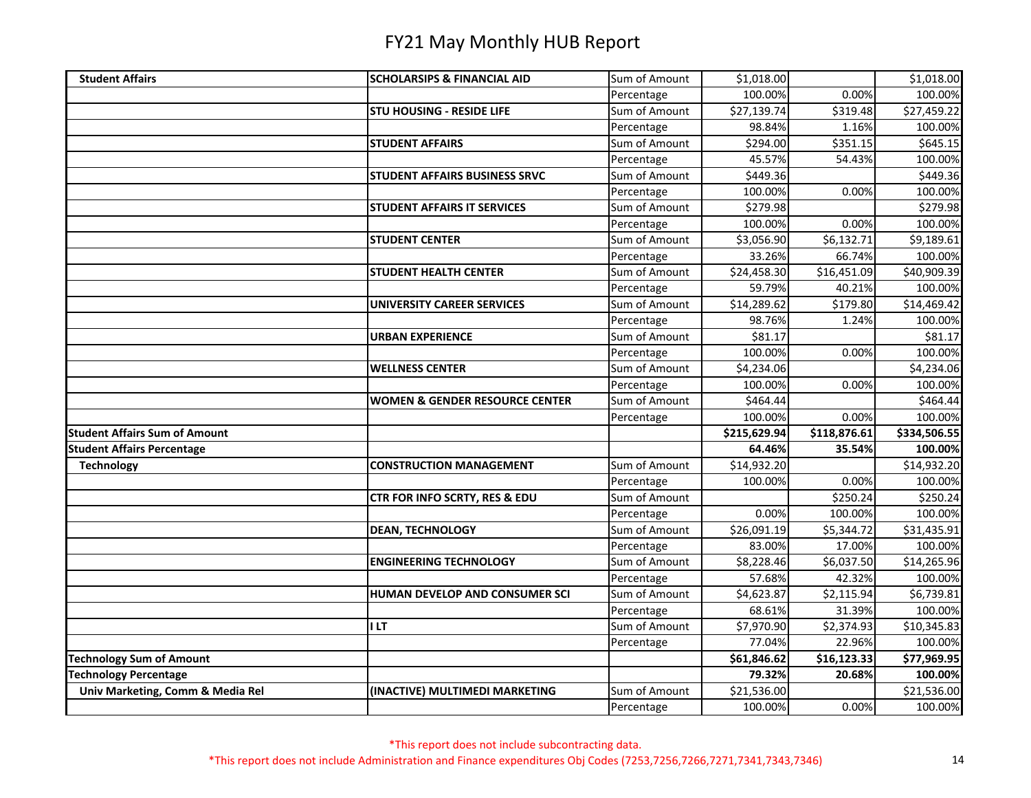| <b>Student Affairs</b>               | <b>SCHOLARSIPS &amp; FINANCIAL AID</b>    | Sum of Amount               | \$1,018.00             |                         | \$1,018.00             |
|--------------------------------------|-------------------------------------------|-----------------------------|------------------------|-------------------------|------------------------|
|                                      |                                           | Percentage                  | 100.00%                | 0.00%                   | 100.00%                |
|                                      | <b>STU HOUSING - RESIDE LIFE</b>          | Sum of Amount               | \$27,139.74            | \$319.48                | \$27,459.22            |
|                                      |                                           | Percentage                  | 98.84%                 | 1.16%                   | 100.00%                |
|                                      | <b>STUDENT AFFAIRS</b>                    | Sum of Amount               | \$294.00               | \$351.15                | \$645.15               |
|                                      |                                           | Percentage                  | 45.57%                 | 54.43%                  | 100.00%                |
|                                      | <b>STUDENT AFFAIRS BUSINESS SRVC</b>      | Sum of Amount               | \$449.36               |                         | \$449.36               |
|                                      |                                           | Percentage                  | 100.00%                | 0.00%                   | 100.00%                |
|                                      | <b>STUDENT AFFAIRS IT SERVICES</b>        | Sum of Amount               | \$279.98               |                         | \$279.98               |
|                                      |                                           | Percentage                  | 100.00%                | 0.00%                   | 100.00%                |
|                                      | <b>STUDENT CENTER</b>                     | Sum of Amount               | \$3,056.90             | \$6,132.71              | \$9,189.61             |
|                                      |                                           | Percentage                  | 33.26%                 | 66.74%                  | 100.00%                |
|                                      | <b>STUDENT HEALTH CENTER</b>              | Sum of Amount               | \$24,458.30            | $\overline{$}16,451.09$ | \$40,909.39            |
|                                      |                                           | Percentage                  | 59.79%                 | 40.21%                  | 100.00%                |
|                                      | <b>UNIVERSITY CAREER SERVICES</b>         | Sum of Amount               | \$14,289.62            | \$179.80                | \$14,469.42            |
|                                      |                                           | Percentage                  | 98.76%                 | 1.24%                   | 100.00%                |
|                                      | <b>URBAN EXPERIENCE</b>                   | Sum of Amount               | \$81.17                |                         | \$81.17                |
|                                      |                                           | Percentage                  | 100.00%                | 0.00%                   | 100.00%                |
|                                      | <b>WELLNESS CENTER</b>                    | Sum of Amount               | \$4,234.06             |                         | \$4,234.06             |
|                                      |                                           | Percentage                  | 100.00%                | 0.00%                   | 100.00%                |
|                                      | <b>WOMEN &amp; GENDER RESOURCE CENTER</b> | Sum of Amount               | \$464.44               |                         | \$464.44               |
|                                      |                                           | Percentage                  | 100.00%                | 0.00%                   | 100.00%                |
|                                      |                                           |                             |                        |                         |                        |
| <b>Student Affairs Sum of Amount</b> |                                           |                             | \$215,629.94           | \$118,876.61            | \$334,506.55           |
| <b>Student Affairs Percentage</b>    |                                           |                             | 64.46%                 | 35.54%                  | 100.00%                |
| <b>Technology</b>                    | <b>CONSTRUCTION MANAGEMENT</b>            | Sum of Amount               | \$14,932.20            |                         | \$14,932.20            |
|                                      |                                           | Percentage                  | 100.00%                | 0.00%                   | 100.00%                |
|                                      | <b>CTR FOR INFO SCRTY, RES &amp; EDU</b>  | Sum of Amount               |                        | \$250.24                | \$250.24               |
|                                      |                                           | Percentage                  | 0.00%                  | 100.00%                 | 100.00%                |
|                                      | <b>DEAN, TECHNOLOGY</b>                   | Sum of Amount               | \$26,091.19            | \$5,344.72              | \$31,435.91            |
|                                      |                                           | Percentage                  | 83.00%                 | 17.00%                  | 100.00%                |
|                                      | <b>ENGINEERING TECHNOLOGY</b>             | Sum of Amount               | \$8,228.46             | \$6,037.50              | \$14,265.96            |
|                                      |                                           | Percentage                  | 57.68%                 | 42.32%                  | 100.00%                |
|                                      | HUMAN DEVELOP AND CONSUMER SCI            | Sum of Amount               | \$4,623.87             | \$2,115.94              | \$6,739.81             |
|                                      |                                           | Percentage                  | 68.61%                 | 31.39%                  | 100.00%                |
|                                      | <b>ILT</b>                                | Sum of Amount               | \$7,970.90             | \$2,374.93              | \$10,345.83            |
|                                      |                                           | Percentage                  | 77.04%                 | 22.96%                  | 100.00%                |
| <b>Technology Sum of Amount</b>      |                                           |                             | \$61,846.62            | \$16,123.33             | \$77,969.95            |
| <b>Technology Percentage</b>         |                                           |                             | 79.32%                 | 20.68%                  | 100.00%                |
| Univ Marketing, Comm & Media Rel     | (INACTIVE) MULTIMEDI MARKETING            | Sum of Amount<br>Percentage | \$21,536.00<br>100.00% | 0.00%                   | \$21,536.00<br>100.00% |